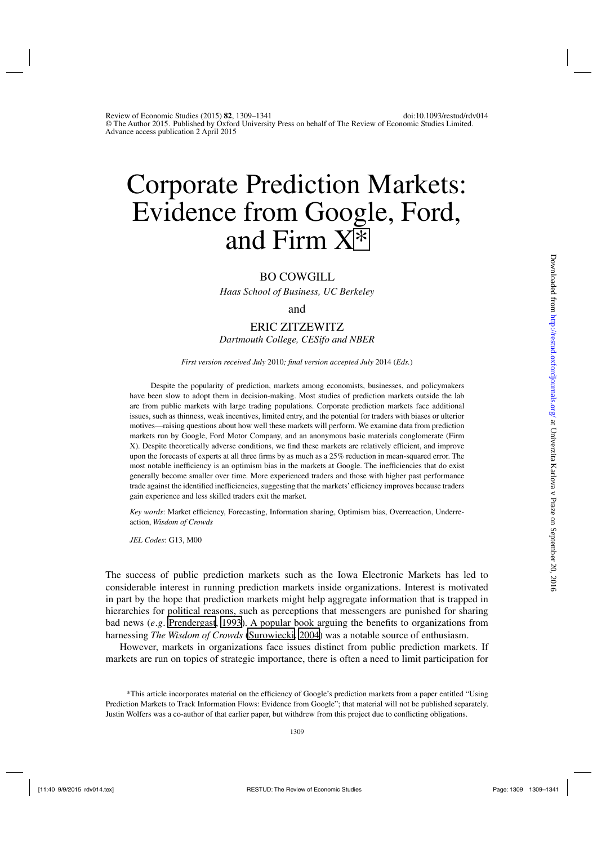# Corporate Prediction Markets: Evidence from Google, Ford, and Firm X\*

# BO COWGILL

*Haas School of Business, UC Berkeley*

and

# ERIC ZITZEWITZ

*Dartmouth College, CESifo and NBER*

*First version received July* 2010*; final version accepted July* 2014 (*Eds.*)

Despite the popularity of prediction, markets among economists, businesses, and policymakers have been slow to adopt them in decision-making. Most studies of prediction markets outside the lab are from public markets with large trading populations. Corporate prediction markets face additional issues, such as thinness, weak incentives, limited entry, and the potential for traders with biases or ulterior motives—raising questions about how well these markets will perform. We examine data from prediction markets run by Google, Ford Motor Company, and an anonymous basic materials conglomerate (Firm X). Despite theoretically adverse conditions, we find these markets are relatively efficient, and improve upon the forecasts of experts at all three firms by as much as a 25% reduction in mean-squared error. The most notable inefficiency is an optimism bias in the markets at Google. The inefficiencies that do exist generally become smaller over time. More experienced traders and those with higher past performance trade against the identified inefficiencies, suggesting that the markets' efficiency improves because traders gain experience and less skilled traders exit the market.

*Key words*: Market efficiency, Forecasting, Information sharing, Optimism bias, Overreaction, Underreaction, *Wisdom of Crowds*

*JEL Codes*: G13, M00

The success of public prediction markets such as the Iowa Electronic Markets has led to considerable interest in running prediction markets inside organizations. Interest is motivated in part by the hope that prediction markets might help aggregate information that is trapped in hierarchies for political reasons, such as perceptions that messengers are punished for sharing bad news (*e*.*g*. [Prendergast](#page-32-0), [1993](#page-32-0)). A popular book arguing the benefits to organizations from harnessing *The Wisdom of Crowds* [\(Surowiecki, 2004\)](#page-32-0) was a notable source of enthusiasm.

However, markets in organizations face issues distinct from public prediction markets. If markets are run on topics of strategic importance, there is often a need to limit participation for

<sup>\*</sup>This article incorporates material on the efficiency of Google's prediction markets from a paper entitled "Using Prediction Markets to Track Information Flows: Evidence from Google"; that material will not be published separately. Justin Wolfers was a co-author of that earlier paper, but withdrew from this project due to conflicting obligations.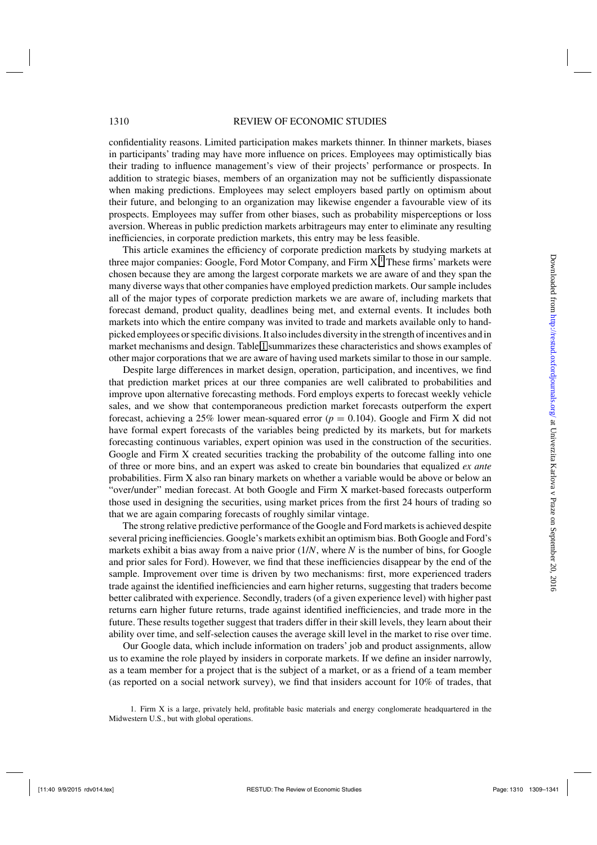confidentiality reasons. Limited participation makes markets thinner. In thinner markets, biases in participants' trading may have more influence on prices. Employees may optimistically bias their trading to influence management's view of their projects' performance or prospects. In addition to strategic biases, members of an organization may not be sufficiently dispassionate when making predictions. Employees may select employers based partly on optimism about their future, and belonging to an organization may likewise engender a favourable view of its prospects. Employees may suffer from other biases, such as probability misperceptions or loss aversion. Whereas in public prediction markets arbitrageurs may enter to eliminate any resulting inefficiencies, in corporate prediction markets, this entry may be less feasible.

This article examines the efficiency of corporate prediction markets by studying markets at three major companies: Google, Ford Motor Company, and Firm  $X<sup>1</sup>$  These firms' markets were chosen because they are among the largest corporate markets we are aware of and they span the many diverse ways that other companies have employed prediction markets. Our sample includes all of the major types of corporate prediction markets we are aware of, including markets that forecast demand, product quality, deadlines being met, and external events. It includes both markets into which the entire company was invited to trade and markets available only to handpicked employees or specific divisions. It also includes diversity in the strength of incentives and in market mechanisms and design. Table [1](#page-2-0) summarizes these characteristics and shows examples of other major corporations that we are aware of having used markets similar to those in our sample.

Despite large differences in market design, operation, participation, and incentives, we find that prediction market prices at our three companies are well calibrated to probabilities and improve upon alternative forecasting methods. Ford employs experts to forecast weekly vehicle sales, and we show that contemporaneous prediction market forecasts outperform the expert forecast, achieving a 25% lower mean-squared error  $(p = 0.104)$ . Google and Firm X did not have formal expert forecasts of the variables being predicted by its markets, but for markets forecasting continuous variables, expert opinion was used in the construction of the securities. Google and Firm X created securities tracking the probability of the outcome falling into one of three or more bins, and an expert was asked to create bin boundaries that equalized *ex ante* probabilities. Firm X also ran binary markets on whether a variable would be above or below an "over/under" median forecast. At both Google and Firm X market-based forecasts outperform those used in designing the securities, using market prices from the first 24 hours of trading so that we are again comparing forecasts of roughly similar vintage.

The strong relative predictive performance of the Google and Ford markets is achieved despite several pricing inefficiencies. Google's markets exhibit an optimism bias. Both Google and Ford's markets exhibit a bias away from a naive prior (1/*N*, where *N* is the number of bins, for Google and prior sales for Ford). However, we find that these inefficiencies disappear by the end of the sample. Improvement over time is driven by two mechanisms: first, more experienced traders trade against the identified inefficiencies and earn higher returns, suggesting that traders become better calibrated with experience. Secondly, traders (of a given experience level) with higher past returns earn higher future returns, trade against identified inefficiencies, and trade more in the future. These results together suggest that traders differ in their skill levels, they learn about their ability over time, and self-selection causes the average skill level in the market to rise over time.

Our Google data, which include information on traders' job and product assignments, allow us to examine the role played by insiders in corporate markets. If we define an insider narrowly, as a team member for a project that is the subject of a market, or as a friend of a team member (as reported on a social network survey), we find that insiders account for 10% of trades, that

1. Firm X is a large, privately held, profitable basic materials and energy conglomerate headquartered in the Midwestern U.S., but with global operations.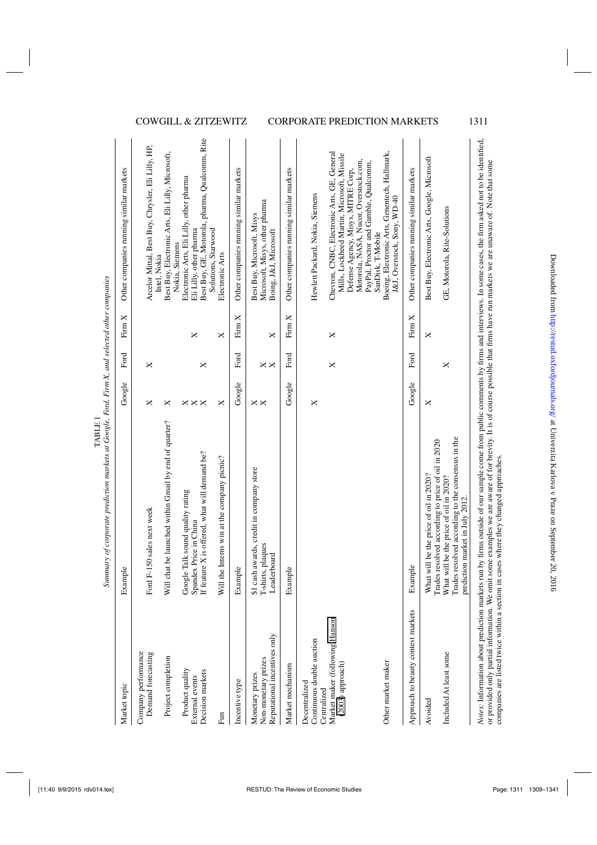<span id="page-2-0"></span>

| Market topic                                                           | Example                                                                                                                                                                               | Google         | Ford           | Firm X | Other companies running similar markets                                                                                         |
|------------------------------------------------------------------------|---------------------------------------------------------------------------------------------------------------------------------------------------------------------------------------|----------------|----------------|--------|---------------------------------------------------------------------------------------------------------------------------------|
| Company performance<br>Demand forecasting                              | F-150 sales next week<br>Ford                                                                                                                                                         | ×              | ×              |        | Arcelor Mittal, Best Buy, Chrysler, Eli Lilly, HP,<br>Intel, Nokia                                                              |
| Project completion                                                     | chat be launched within Gmail by end of quarter?<br>Will                                                                                                                              | ×              |                |        | Best Buy, Electronic Arts, Eli Lilly, Microsoft,<br>Nokia, Siemens                                                              |
| Product quality<br>External events                                     | Google Talk sound quality rating                                                                                                                                                      | $\Join$<br>×   |                | ×      | Electronic Arts, Eli Lilly, other pharma<br>Eli Lilly, other pharma                                                             |
| Decision markets                                                       | Spandex Price in China<br>If feature X is offered, what will demand be?                                                                                                               | X              | ×              |        | Best Buy, GE, Motorola, pharma, Qualcomm, Rite                                                                                  |
| Fun                                                                    | the Interns win at the company picnic?<br>Will                                                                                                                                        | ×              |                | ×      | Solutions, Starwood<br>Electronic Arts                                                                                          |
| Incentive type                                                         | Example                                                                                                                                                                               | Google         | Ford           | Firm X | Other companies running similar markets                                                                                         |
| Reputational incentives only<br>Non-monetary prizes<br>Monetary prizes | \$1 cash awards, credit in company store<br>T-shirts, plaques<br>Leaderboard                                                                                                          | $\times\times$ | $\times\times$ | ×      | Microsoft, Misys, other pharma<br>Best Buy, Microsoft, Misys<br>Boing, J&J, Microsoft                                           |
| Market mechanism                                                       | Example                                                                                                                                                                               | Google         | Ford           | Firm X | Other companies running similar markets                                                                                         |
| Continuous double auction<br>Decentralized<br>Centralized              |                                                                                                                                                                                       | ×              |                |        | Hewlett Packard, Nokia, Siemens                                                                                                 |
| Market maker (following Hanson<br>$(2003)$ approach)                   |                                                                                                                                                                                       |                | ×              | ×      | Chevron, CNBC, Electronic Arts, GE, General<br>Mills, Lockheed Martin, Microsoft, Missile<br>Defense Agency, Misys, MITRE Corp, |
|                                                                        |                                                                                                                                                                                       |                |                |        | Motorola, NASA, Nucor, Overstock.com,<br>PayPal, Proctor and Gamble, Qualcomm,<br>SanDisk, T-Mobile                             |
| Other market maker                                                     |                                                                                                                                                                                       |                |                |        | Boeing, Electronic Arts, Genentech, Hallmark,<br>J&J, Overstock, Sony, WD-40                                                    |
| Approach to beauty contest markets                                     | Example                                                                                                                                                                               | Google         | Ford           | Firm X | Other companies running similar markets                                                                                         |
| Avoided                                                                | Trades resolved according to price of oil in 2020<br>What will be the price of oil in 2020?                                                                                           | ×              |                | ×      | Best Buy, Electronic Arts, Google, Microsoft                                                                                    |
| Included At least some                                                 | Trades resolved according to the consensus in the<br>What will be the price of oil in 2020?<br>prediction market in July 2012.                                                        |                | ×              |        | GE, Motorola, Rite-Solutions                                                                                                    |
|                                                                        | Notes: Information about prediction markets run by firms outside of our sample come from public comments by firms and interviews. In some cases, the firm asked not to be identified, |                |                |        |                                                                                                                                 |

Summary of corporate prediction markets at Google, Ford, Firm X, and selected other companies Summary of corporate prediction markets at Google, Ford, Firm X, and selected other companies TABLE 1 TABLE 1

proces: Information about prediction markets run by firms outside of our sample come from public comments by firms and interviews. In some cases, the firm asked not to be ident or provided only partial information. We onit or provided only partial information. We omit some examples we are aware of for brevity. It is of course possible that firms have run markets we are unaware of. Note that some companies are listed twice within a section in cases where they changed approaches.

Downloaded from http://restud.oxfordjournals.org/ at Univerzita Karlova v Praze on September 20, 2016 Downloaded trom <http://restud.oxfordjournals.org/> at Univerzita Karlova v Praze on September 20, 2016

# COWGILL & ZITZEWITZ CORPORATE PREDICTION MARKETS 1311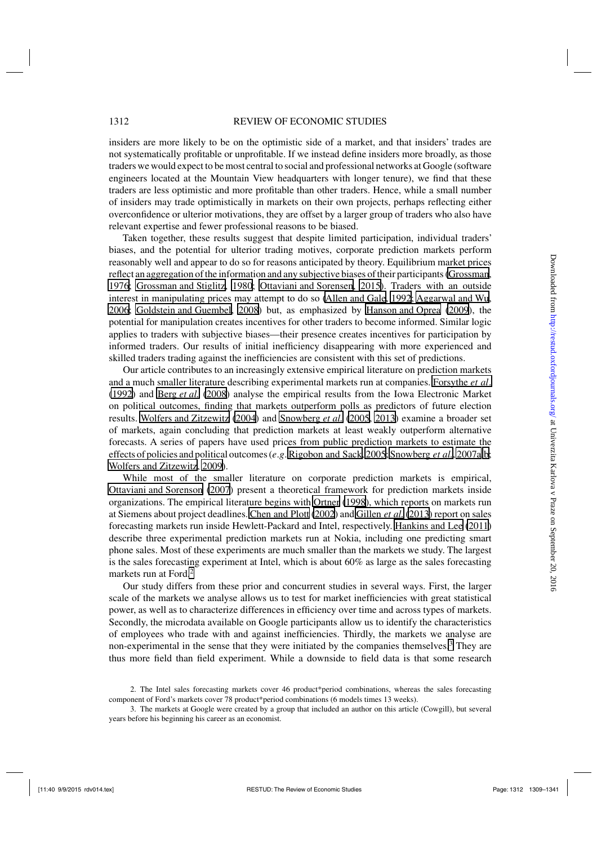insiders are more likely to be on the optimistic side of a market, and that insiders' trades are not systematically profitable or unprofitable. If we instead define insiders more broadly, as those traders we would expect to be most central to social and professional networks at Google (software engineers located at the Mountain View headquarters with longer tenure), we find that these traders are less optimistic and more profitable than other traders. Hence, while a small number of insiders may trade optimistically in markets on their own projects, perhaps reflecting either overconfidence or ulterior motivations, they are offset by a larger group of traders who also have relevant expertise and fewer professional reasons to be biased.

Taken together, these results suggest that despite limited participation, individual traders' biases, and the potential for ulterior trading motives, corporate prediction markets perform reasonably well and appear to do so for reasons anticipated by theory. Equilibrium market prices reflect an aggregation of the information and any subjective biases of their participants [\(Grossman,](#page-31-0) [1976; Grossman and Stiglitz, 1980;](#page-31-0) [Ottaviani and Sorensen](#page-32-0), [2015\)](#page-32-0). Traders with an outside interest in manipulating prices may attempt to do so [\(Allen and Gale, 1992](#page-30-0); [Aggarwal and Wu,](#page-30-0) [2006;](#page-30-0) [Goldstein and Guembel, 2008\)](#page-31-0) but, as emphasized by [Hanson and Oprea](#page-31-0) [\(2009](#page-31-0)), the potential for manipulation creates incentives for other traders to become informed. Similar logic applies to traders with subjective biases—their presence creates incentives for participation by informed traders. Our results of initial inefficiency disappearing with more experienced and skilled traders trading against the inefficiencies are consistent with this set of predictions.

Our article contributes to an increasingly extensive empirical literature on prediction markets and a much smaller literature describing experimental markets run at companies. [Forsythe](#page-31-0) *et al*. [\(1992](#page-31-0)) and [Berg](#page-31-0) *et al.* [\(2008\)](#page-31-0) analyse the empirical results from the Iowa Electronic Market on political outcomes, finding that markets outperform polls as predictors of future election results. [Wolfers and Zitzewitz](#page-32-0) [\(2004](#page-32-0)) and [Snowberg](#page-32-0) *et al.* [\(2005, 2013](#page-32-0)) examine a broader set of markets, again concluding that prediction markets at least weakly outperform alternative forecasts. A series of papers have used prices from public prediction markets to estimate the effects of policies and political outcomes (*e*.*g*.[Rigobon and Sack, 2005; Snowberg](#page-32-0) *et al.*, [2007a,b](#page-32-0); [Wolfers and Zitzewitz, 2009\)](#page-32-0).

While most of the smaller literature on corporate prediction markets is empirical, [Ottaviani and Sorenson](#page-32-0) [\(2007](#page-32-0)) present a theoretical framework for prediction markets inside organizations. The empirical literature begins with [Ortner](#page-32-0) [\(1998\)](#page-32-0), which reports on markets run at Siemens about project deadlines. [Chen and Plott](#page-31-0) [\(2002\)](#page-31-0) and [Gillen](#page-31-0) *et al.* [\(2013\)](#page-31-0) report on sales forecasting markets run inside Hewlett-Packard and Intel, respectively. [Hankins and Lee](#page-31-0) [\(2011\)](#page-31-0) describe three experimental prediction markets run at Nokia, including one predicting smart phone sales. Most of these experiments are much smaller than the markets we study. The largest is the sales forecasting experiment at Intel, which is about 60% as large as the sales forecasting markets run at Ford. $<sup>2</sup>$ </sup>

Our study differs from these prior and concurrent studies in several ways. First, the larger scale of the markets we analyse allows us to test for market inefficiencies with great statistical power, as well as to characterize differences in efficiency over time and across types of markets. Secondly, the microdata available on Google participants allow us to identify the characteristics of employees who trade with and against inefficiencies. Thirdly, the markets we analyse are non-experimental in the sense that they were initiated by the companies themselves.<sup>3</sup> They are thus more field than field experiment. While a downside to field data is that some research

<sup>2.</sup> The Intel sales forecasting markets cover 46 product\*period combinations, whereas the sales forecasting component of Ford's markets cover 78 product\*period combinations (6 models times 13 weeks).

<sup>3.</sup> The markets at Google were created by a group that included an author on this article (Cowgill), but several years before his beginning his career as an economist.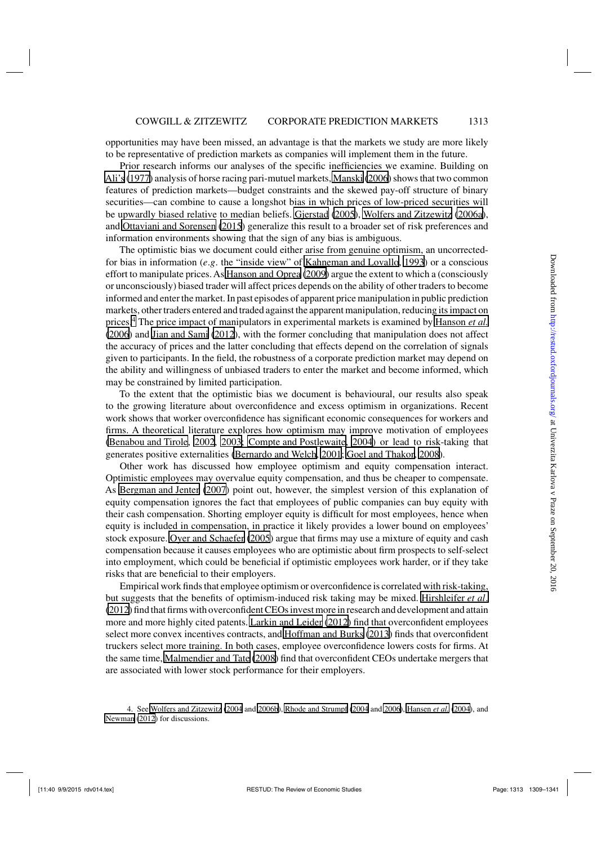opportunities may have been missed, an advantage is that the markets we study are more likely to be representative of prediction markets as companies will implement them in the future.

Prior research informs our analyses of the specific inefficiencies we examine. Building on [Ali's](#page-30-0) [\(1977](#page-30-0)) analysis of horse racing pari-mutuel markets, [Manski](#page-31-0) [\(2006](#page-31-0)) shows that two common features of prediction markets—budget constraints and the skewed pay-off structure of binary securities—can combine to cause a longshot bias in which prices of low-priced securities will be upwardly biased relative to median beliefs. [Gjerstad](#page-31-0) [\(2005\)](#page-31-0), [Wolfers and Zitzewitz](#page-32-0) [\(2006a](#page-32-0)), and [Ottaviani and Sorensen](#page-32-0) [\(2015](#page-32-0)) generalize this result to a broader set of risk preferences and information environments showing that the sign of any bias is ambiguous.

The optimistic bias we document could either arise from genuine optimism, an uncorrectedfor bias in information (*e*.*g*. the "inside view" of [Kahneman and Lovallo, 1993](#page-31-0)) or a conscious effort to manipulate prices. As [Hanson and Oprea](#page-31-0) [\(2009](#page-31-0)) argue the extent to which a (consciously or unconsciously) biased trader will affect prices depends on the ability of other traders to become informed and enter the market. In past episodes of apparent price manipulation in public prediction markets, other traders entered and traded against the apparent manipulation, reducing its impact on prices.<sup>4</sup> The price impact of manipulators in experimental markets is examined by [Hanson](#page-31-0) *et al.* [\(2006\)](#page-31-0) and [Jian and Sami](#page-31-0) [\(2012\)](#page-31-0), with the former concluding that manipulation does not affect the accuracy of prices and the latter concluding that effects depend on the correlation of signals given to participants. In the field, the robustness of a corporate prediction market may depend on the ability and willingness of unbiased traders to enter the market and become informed, which may be constrained by limited participation.

To the extent that the optimistic bias we document is behavioural, our results also speak to the growing literature about overconfidence and excess optimism in organizations. Recent work shows that worker overconfidence has significant economic consequences for workers and firms. A theoretical literature explores how optimism may improve motivation of employees [\(Benabou and Tirole](#page-31-0), [2002](#page-31-0), [2003; Compte and Postlewaite, 2004](#page-31-0)) or lead to risk-taking that generates positive externalities [\(Bernardo and Welch, 2001; Goel and Thakor](#page-31-0), [2008](#page-31-0)).

Other work has discussed how employee optimism and equity compensation interact. Optimistic employees may overvalue equity compensation, and thus be cheaper to compensate. As [Bergman and Jenter](#page-31-0) [\(2007\)](#page-31-0) point out, however, the simplest version of this explanation of equity compensation ignores the fact that employees of public companies can buy equity with their cash compensation. Shorting employer equity is difficult for most employees, hence when equity is included in compensation, in practice it likely provides a lower bound on employees' stock exposure. [Oyer and Schaefer](#page-32-0) [\(2005](#page-32-0)) argue that firms may use a mixture of equity and cash compensation because it causes employees who are optimistic about firm prospects to self-select into employment, which could be beneficial if optimistic employees work harder, or if they take risks that are beneficial to their employers.

Empirical work finds that employee optimism or overconfidence is correlated with risk-taking, but suggests that the benefits of optimism-induced risk taking may be mixed. [Hirshleifer](#page-31-0) *et al*. [\(2012\)](#page-31-0) find that firms with overconfident CEOs invest more in research and development and attain more and more highly cited patents. [Larkin and Leider](#page-31-0) [\(2012\)](#page-31-0) find that overconfident employees select more convex incentives contracts, and [Hoffman and Burks](#page-31-0) [\(2013](#page-31-0)) finds that overconfident truckers select more training. In both cases, employee overconfidence lowers costs for firms. At the same time, [Malmendier and Tate](#page-31-0) [\(2008\)](#page-31-0) find that overconfident CEOs undertake mergers that are associated with lower stock performance for their employers.

<sup>4.</sup> See [Wolfers and Zitzewitz](#page-32-0) [\(2004](#page-32-0) and [2006b\)](#page-32-0), [Rhode and Strumpf](#page-32-0) [\(2004](#page-32-0) and [2006](#page-32-0)), [Hansen](#page-31-0) *et al.* [\(2004\)](#page-31-0), and [Newman](#page-32-0) [\(2012\)](#page-32-0) for discussions.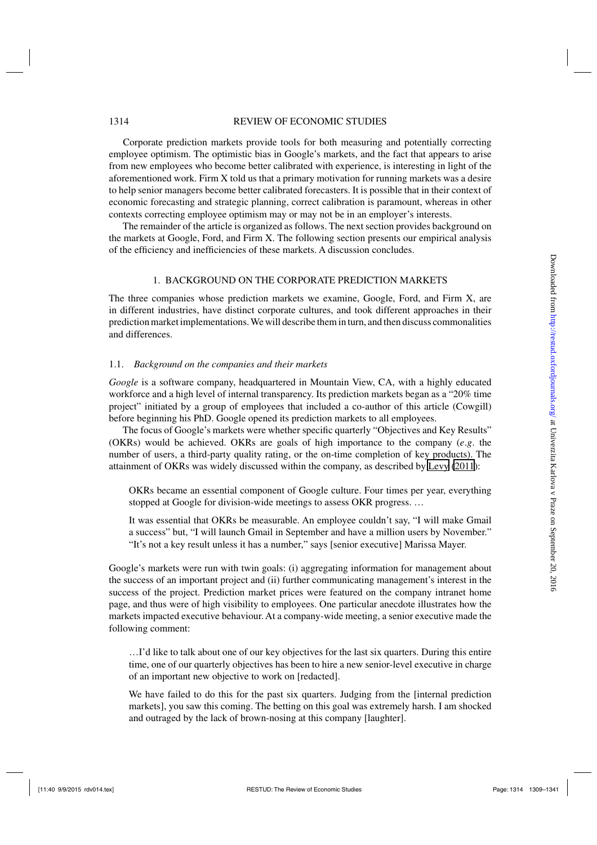Corporate prediction markets provide tools for both measuring and potentially correcting employee optimism. The optimistic bias in Google's markets, and the fact that appears to arise from new employees who become better calibrated with experience, is interesting in light of the aforementioned work. Firm X told us that a primary motivation for running markets was a desire to help senior managers become better calibrated forecasters. It is possible that in their context of economic forecasting and strategic planning, correct calibration is paramount, whereas in other contexts correcting employee optimism may or may not be in an employer's interests.

The remainder of the article is organized as follows. The next section provides background on the markets at Google, Ford, and Firm X. The following section presents our empirical analysis of the efficiency and inefficiencies of these markets. A discussion concludes.

# 1. BACKGROUND ON THE CORPORATE PREDICTION MARKETS

The three companies whose prediction markets we examine, Google, Ford, and Firm X, are in different industries, have distinct corporate cultures, and took different approaches in their prediction market implementations. We will describe them in turn, and then discuss commonalities and differences.

# 1.1. *Background on the companies and their markets*

*Google* is a software company, headquartered in Mountain View, CA, with a highly educated workforce and a high level of internal transparency. Its prediction markets began as a "20% time project" initiated by a group of employees that included a co-author of this article (Cowgill) before beginning his PhD. Google opened its prediction markets to all employees.

The focus of Google's markets were whether specific quarterly "Objectives and Key Results" (OKRs) would be achieved. OKRs are goals of high importance to the company (*e*.*g*. the number of users, a third-party quality rating, or the on-time completion of key products). The attainment of OKRs was widely discussed within the company, as described by [Levy](#page-31-0) [\(2011](#page-31-0)):

OKRs became an essential component of Google culture. Four times per year, everything stopped at Google for division-wide meetings to assess OKR progress. …

It was essential that OKRs be measurable. An employee couldn't say, "I will make Gmail a success" but, "I will launch Gmail in September and have a million users by November." "It's not a key result unless it has a number," says [senior executive] Marissa Mayer.

Google's markets were run with twin goals: (i) aggregating information for management about the success of an important project and (ii) further communicating management's interest in the success of the project. Prediction market prices were featured on the company intranet home page, and thus were of high visibility to employees. One particular anecdote illustrates how the markets impacted executive behaviour. At a company-wide meeting, a senior executive made the following comment:

…I'd like to talk about one of our key objectives for the last six quarters. During this entire time, one of our quarterly objectives has been to hire a new senior-level executive in charge of an important new objective to work on [redacted].

We have failed to do this for the past six quarters. Judging from the [internal prediction markets], you saw this coming. The betting on this goal was extremely harsh. I am shocked and outraged by the lack of brown-nosing at this company [laughter].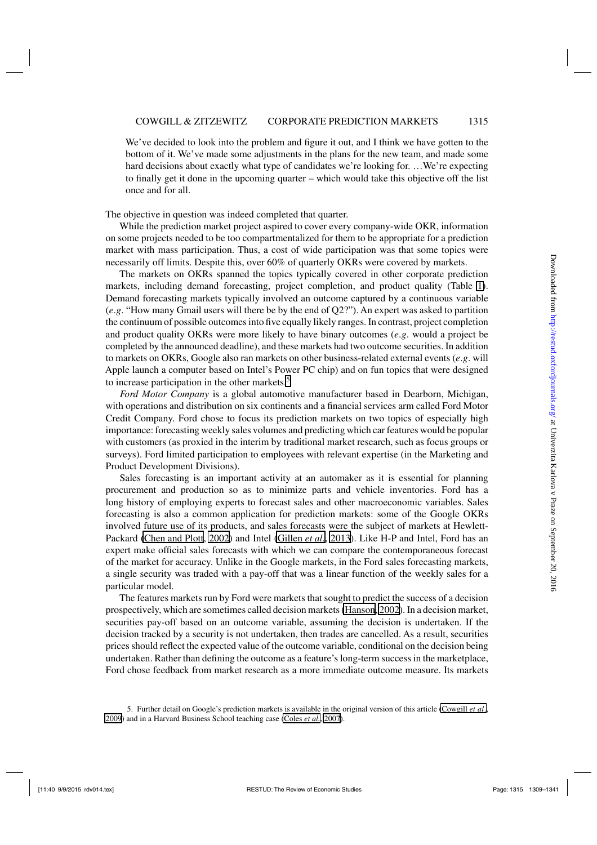Downloaded from http://restud.oxfordjournals.org/ at Univerzita Karlova v Praze on September 20, 2016 Downloaded trom <http://restud.oxfordjournals.org/> at Univerzita Karlova v Praze on September 20, 2016

We've decided to look into the problem and figure it out, and I think we have gotten to the bottom of it. We've made some adjustments in the plans for the new team, and made some hard decisions about exactly what type of candidates we're looking for. ... We're expecting to finally get it done in the upcoming quarter – which would take this objective off the list once and for all.

The objective in question was indeed completed that quarter.

While the prediction market project aspired to cover every company-wide OKR, information on some projects needed to be too compartmentalized for them to be appropriate for a prediction market with mass participation. Thus, a cost of wide participation was that some topics were necessarily off limits. Despite this, over 60% of quarterly OKRs were covered by markets.

The markets on OKRs spanned the topics typically covered in other corporate prediction markets, including demand forecasting, project completion, and product quality (Table [1\)](#page-2-0). Demand forecasting markets typically involved an outcome captured by a continuous variable (*e*.*g*. "How many Gmail users will there be by the end of Q2?"). An expert was asked to partition the continuum of possible outcomes into five equally likely ranges. In contrast, project completion and product quality OKRs were more likely to have binary outcomes (*e*.*g*. would a project be completed by the announced deadline), and these markets had two outcome securities. In addition to markets on OKRs, Google also ran markets on other business-related external events (*e*.*g*. will Apple launch a computer based on Intel's Power PC chip) and on fun topics that were designed to increase participation in the other markets.<sup>5</sup>

*Ford Motor Company* is a global automotive manufacturer based in Dearborn, Michigan, with operations and distribution on six continents and a financial services arm called Ford Motor Credit Company. Ford chose to focus its prediction markets on two topics of especially high importance: forecasting weekly sales volumes and predicting which car features would be popular with customers (as proxied in the interim by traditional market research, such as focus groups or surveys). Ford limited participation to employees with relevant expertise (in the Marketing and Product Development Divisions).

Sales forecasting is an important activity at an automaker as it is essential for planning procurement and production so as to minimize parts and vehicle inventories. Ford has a long history of employing experts to forecast sales and other macroeconomic variables. Sales forecasting is also a common application for prediction markets: some of the Google OKRs involved future use of its products, and sales forecasts were the subject of markets at Hewlett-Packard [\(Chen and Plott](#page-31-0), [2002\)](#page-31-0) and Intel [\(Gillen](#page-31-0) *et al.*, [2013\)](#page-31-0). Like H-P and Intel, Ford has an expert make official sales forecasts with which we can compare the contemporaneous forecast of the market for accuracy. Unlike in the Google markets, in the Ford sales forecasting markets, a single security was traded with a pay-off that was a linear function of the weekly sales for a particular model.

The features markets run by Ford were markets that sought to predict the success of a decision prospectively, which are sometimes called decision markets [\(Hanson](#page-31-0), [2002](#page-31-0)). In a decision market, securities pay-off based on an outcome variable, assuming the decision is undertaken. If the decision tracked by a security is not undertaken, then trades are cancelled. As a result, securities prices should reflect the expected value of the outcome variable, conditional on the decision being undertaken. Rather than defining the outcome as a feature's long-term success in the marketplace, Ford chose feedback from market research as a more immediate outcome measure. Its markets

<sup>5.</sup> Further detail on Google's prediction markets is available in the original version of this article [\(Cowgill](#page-31-0) *et al*., [2009\)](#page-31-0) and in a Harvard Business School teaching case [\(Coles](#page-31-0) *et al.*, [2007](#page-31-0)).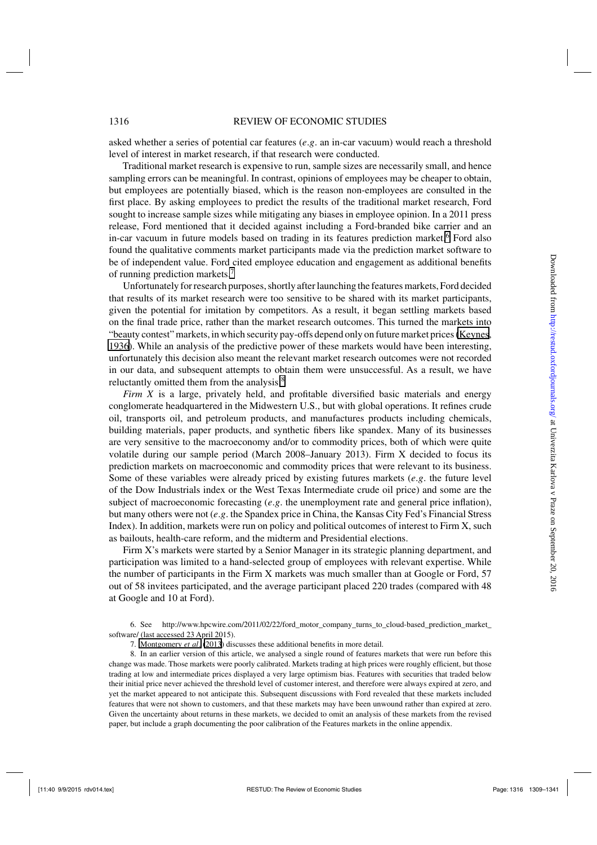asked whether a series of potential car features (*e*.*g*. an in-car vacuum) would reach a threshold level of interest in market research, if that research were conducted.

Traditional market research is expensive to run, sample sizes are necessarily small, and hence sampling errors can be meaningful. In contrast, opinions of employees may be cheaper to obtain, but employees are potentially biased, which is the reason non-employees are consulted in the first place. By asking employees to predict the results of the traditional market research, Ford sought to increase sample sizes while mitigating any biases in employee opinion. In a 2011 press release, Ford mentioned that it decided against including a Ford-branded bike carrier and an in-car vacuum in future models based on trading in its features prediction market.<sup>6</sup> Ford also found the qualitative comments market participants made via the prediction market software to be of independent value. Ford cited employee education and engagement as additional benefits of running prediction markets.<sup>7</sup>

Unfortunately for research purposes, shortly after launching the features markets, Ford decided that results of its market research were too sensitive to be shared with its market participants, given the potential for imitation by competitors. As a result, it began settling markets based on the final trade price, rather than the market research outcomes. This turned the markets into "beauty contest" markets, in which security pay-offs depend only on future market prices [\(Keynes,](#page-31-0) [1936\)](#page-31-0). While an analysis of the predictive power of these markets would have been interesting, unfortunately this decision also meant the relevant market research outcomes were not recorded in our data, and subsequent attempts to obtain them were unsuccessful. As a result, we have reluctantly omitted them from the analysis.<sup>8</sup>

*Firm X* is a large, privately held, and profitable diversified basic materials and energy conglomerate headquartered in the Midwestern U.S., but with global operations. It refines crude oil, transports oil, and petroleum products, and manufactures products including chemicals, building materials, paper products, and synthetic fibers like spandex. Many of its businesses are very sensitive to the macroeconomy and/or to commodity prices, both of which were quite volatile during our sample period (March 2008–January 2013). Firm X decided to focus its prediction markets on macroeconomic and commodity prices that were relevant to its business. Some of these variables were already priced by existing futures markets (*e*.*g*. the future level of the Dow Industrials index or the West Texas Intermediate crude oil price) and some are the subject of macroeconomic forecasting (*e*.*g*. the unemployment rate and general price inflation), but many others were not (*e*.*g*. the Spandex price in China, the Kansas City Fed's Financial Stress Index). In addition, markets were run on policy and political outcomes of interest to Firm X, such as bailouts, health-care reform, and the midterm and Presidential elections.

Firm X's markets were started by a Senior Manager in its strategic planning department, and participation was limited to a hand-selected group of employees with relevant expertise. While the number of participants in the Firm X markets was much smaller than at Google or Ford, 57 out of 58 invitees participated, and the average participant placed 220 trades (compared with 48 at Google and 10 at Ford).

6. See http://www.hpcwire.com/2011/02/22/ford\_motor\_company\_turns\_to\_cloud-based\_prediction\_market\_ software/ (last accessed 23 April 2015).

7. [Montgomery](#page-32-0) *et al*. [\(2013](#page-32-0)) discusses these additional benefits in more detail.

8. In an earlier version of this article, we analysed a single round of features markets that were run before this change was made. Those markets were poorly calibrated. Markets trading at high prices were roughly efficient, but those trading at low and intermediate prices displayed a very large optimism bias. Features with securities that traded below their initial price never achieved the threshold level of customer interest, and therefore were always expired at zero, and yet the market appeared to not anticipate this. Subsequent discussions with Ford revealed that these markets included features that were not shown to customers, and that these markets may have been unwound rather than expired at zero. Given the uncertainty about returns in these markets, we decided to omit an analysis of these markets from the revised paper, but include a graph documenting the poor calibration of the Features markets in the online appendix.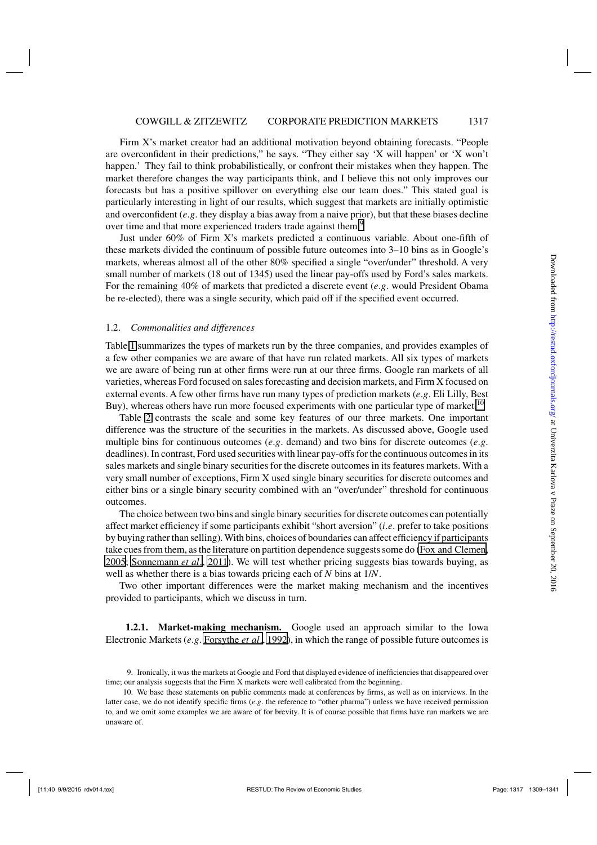Firm X's market creator had an additional motivation beyond obtaining forecasts. "People are overconfident in their predictions," he says. "They either say 'X will happen' or 'X won't happen.' They fail to think probabilistically, or confront their mistakes when they happen. The market therefore changes the way participants think, and I believe this not only improves our forecasts but has a positive spillover on everything else our team does." This stated goal is particularly interesting in light of our results, which suggest that markets are initially optimistic and overconfident (*e*.*g*. they display a bias away from a naive prior), but that these biases decline over time and that more experienced traders trade against them.<sup>9</sup>

Just under 60% of Firm X's markets predicted a continuous variable. About one-fifth of these markets divided the continuum of possible future outcomes into 3–10 bins as in Google's markets, whereas almost all of the other 80% specified a single "over/under" threshold. A very small number of markets (18 out of 1345) used the linear pay-offs used by Ford's sales markets. For the remaining 40% of markets that predicted a discrete event (*e*.*g*. would President Obama be re-elected), there was a single security, which paid off if the specified event occurred.

## 1.2. *Commonalities and differences*

Table [1](#page-2-0) summarizes the types of markets run by the three companies, and provides examples of a few other companies we are aware of that have run related markets. All six types of markets we are aware of being run at other firms were run at our three firms. Google ran markets of all varieties, whereas Ford focused on sales forecasting and decision markets, and Firm X focused on external events. A few other firms have run many types of prediction markets (*e*.*g*. Eli Lilly, Best Buy), whereas others have run more focused experiments with one particular type of market.<sup>10</sup>

Table [2](#page-9-0) contrasts the scale and some key features of our three markets. One important difference was the structure of the securities in the markets. As discussed above, Google used multiple bins for continuous outcomes (*e*.*g*. demand) and two bins for discrete outcomes (*e*.*g*. deadlines). In contrast, Ford used securities with linear pay-offs for the continuous outcomes in its sales markets and single binary securities for the discrete outcomes in its features markets. With a very small number of exceptions, Firm X used single binary securities for discrete outcomes and either bins or a single binary security combined with an "over/under" threshold for continuous outcomes.

The choice between two bins and single binary securities for discrete outcomes can potentially affect market efficiency if some participants exhibit "short aversion" (*i*.*e*. prefer to take positions by buying rather than selling). With bins, choices of boundaries can affect efficiency if participants take cues from them, as the literature on partition dependence suggests some do [\(Fox and Clemen](#page-31-0), [2005;](#page-31-0) [Sonnemann](#page-32-0) *et al*., [2011](#page-32-0)). We will test whether pricing suggests bias towards buying, as well as whether there is a bias towards pricing each of *N* bins at 1/*N*.

Two other important differences were the market making mechanism and the incentives provided to participants, which we discuss in turn.

**1.2.1. Market-making mechanism.** Google used an approach similar to the Iowa Electronic Markets (*e*.*g*. [Forsythe](#page-31-0) *et al*., [1992](#page-31-0)), in which the range of possible future outcomes is

<sup>9.</sup> Ironically, it was the markets at Google and Ford that displayed evidence of inefficiencies that disappeared over time; our analysis suggests that the Firm X markets were well calibrated from the beginning.

<sup>10.</sup> We base these statements on public comments made at conferences by firms, as well as on interviews. In the latter case, we do not identify specific firms (*e*.*g*. the reference to "other pharma") unless we have received permission to, and we omit some examples we are aware of for brevity. It is of course possible that firms have run markets we are unaware of.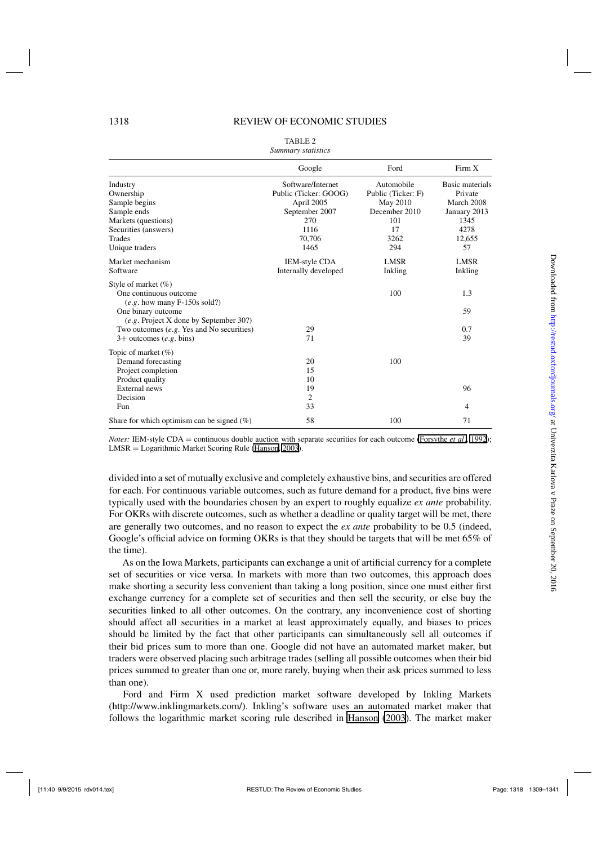<span id="page-9-0"></span>

|                                               | Google                | Ford               | Firm X          |
|-----------------------------------------------|-----------------------|--------------------|-----------------|
| Industry                                      | Software/Internet     | Automobile         | Basic materials |
| Ownership                                     | Public (Ticker: GOOG) | Public (Ticker: F) | Private         |
| Sample begins                                 | April 2005            | May 2010           | March 2008      |
| Sample ends                                   | September 2007        | December 2010      | January 2013    |
| Markets (questions)                           | 270                   | 101                | 1345            |
| Securities (answers)                          | 1116                  | 17                 | 4278            |
| Trades                                        | 70,706                | 3262               | 12,655          |
| Unique traders                                | 1465                  | 294                | 57              |
| Market mechanism                              | <b>IEM-style CDA</b>  | LMSR               | <b>LMSR</b>     |
| Software                                      | Internally developed  | Inkling            | Inkling         |
| Style of market $(\% )$                       |                       |                    |                 |
| One continuous outcome                        |                       | 100                | 1.3             |
| $(e.g. how many F-150s sold?)$                |                       |                    |                 |
| One binary outcome                            |                       |                    | 59              |
| $(e.g. Project X done by September 30?)$      |                       |                    |                 |
| Two outcomes $(e.g.$ Yes and No securities)   | 29                    |                    | 0.7             |
| $3+$ outcomes ( <i>e.g.</i> bins)             | 71                    |                    | 39              |
| Topic of market $(\%)$                        |                       |                    |                 |
| Demand forecasting                            | 20                    | 100                |                 |
| Project completion                            | 15                    |                    |                 |
| Product quality                               | 10                    |                    |                 |
| External news                                 | 19                    |                    | 96              |
| Decision                                      | $\overline{c}$        |                    |                 |
| Fun                                           | 33                    |                    | $\overline{4}$  |
| Share for which optimism can be signed $(\%)$ | 58                    | 100                | 71              |

TABLE 2 *Summary statistics*

*Notes:* IEM-style CDA = continuous double auction with separate securities for each outcome [\(Forsythe](#page-31-0) *et al*., [1992](#page-31-0)); LMSR = Logarithmic Market Scoring Rule [\(Hanson, 2003\)](#page-31-0).

divided into a set of mutually exclusive and completely exhaustive bins, and securities are offered for each. For continuous variable outcomes, such as future demand for a product, five bins were typically used with the boundaries chosen by an expert to roughly equalize *ex ante* probability. For OKRs with discrete outcomes, such as whether a deadline or quality target will be met, there are generally two outcomes, and no reason to expect the *ex ante* probability to be 0.5 (indeed, Google's official advice on forming OKRs is that they should be targets that will be met 65% of the time).

As on the Iowa Markets, participants can exchange a unit of artificial currency for a complete set of securities or vice versa. In markets with more than two outcomes, this approach does make shorting a security less convenient than taking a long position, since one must either first exchange currency for a complete set of securities and then sell the security, or else buy the securities linked to all other outcomes. On the contrary, any inconvenience cost of shorting should affect all securities in a market at least approximately equally, and biases to prices should be limited by the fact that other participants can simultaneously sell all outcomes if their bid prices sum to more than one. Google did not have an automated market maker, but traders were observed placing such arbitrage trades (selling all possible outcomes when their bid prices summed to greater than one or, more rarely, buying when their ask prices summed to less than one).

Ford and Firm X used prediction market software developed by Inkling Markets (http://www.inklingmarkets.com/). Inkling's software uses an automated market maker that follows the logarithmic market scoring rule described in [Hanson](#page-31-0) [\(2003\)](#page-31-0). The market maker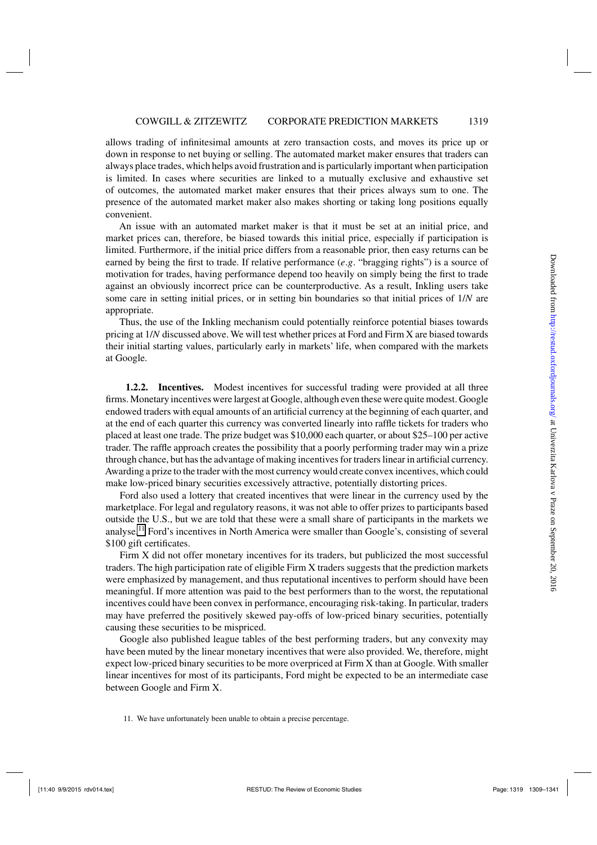allows trading of infinitesimal amounts at zero transaction costs, and moves its price up or down in response to net buying or selling. The automated market maker ensures that traders can always place trades, which helps avoid frustration and is particularly important when participation is limited. In cases where securities are linked to a mutually exclusive and exhaustive set of outcomes, the automated market maker ensures that their prices always sum to one. The presence of the automated market maker also makes shorting or taking long positions equally convenient.

An issue with an automated market maker is that it must be set at an initial price, and market prices can, therefore, be biased towards this initial price, especially if participation is limited. Furthermore, if the initial price differs from a reasonable prior, then easy returns can be earned by being the first to trade. If relative performance (*e*.*g*. "bragging rights") is a source of motivation for trades, having performance depend too heavily on simply being the first to trade against an obviously incorrect price can be counterproductive. As a result, Inkling users take some care in setting initial prices, or in setting bin boundaries so that initial prices of 1/*N* are appropriate.

Thus, the use of the Inkling mechanism could potentially reinforce potential biases towards pricing at 1/*N* discussed above. We will test whether prices at Ford and Firm X are biased towards their initial starting values, particularly early in markets' life, when compared with the markets at Google.

**1.2.2. Incentives.** Modest incentives for successful trading were provided at all three firms. Monetary incentives were largest at Google, although even these were quite modest. Google endowed traders with equal amounts of an artificial currency at the beginning of each quarter, and at the end of each quarter this currency was converted linearly into raffle tickets for traders who placed at least one trade. The prize budget was \$10,000 each quarter, or about \$25–100 per active trader. The raffle approach creates the possibility that a poorly performing trader may win a prize through chance, but has the advantage of making incentives for traders linear in artificial currency. Awarding a prize to the trader with the most currency would create convex incentives, which could make low-priced binary securities excessively attractive, potentially distorting prices.

Ford also used a lottery that created incentives that were linear in the currency used by the marketplace. For legal and regulatory reasons, it was not able to offer prizes to participants based outside the U.S., but we are told that these were a small share of participants in the markets we analyse.11 Ford's incentives in North America were smaller than Google's, consisting of several \$100 gift certificates.

Firm X did not offer monetary incentives for its traders, but publicized the most successful traders. The high participation rate of eligible Firm X traders suggests that the prediction markets were emphasized by management, and thus reputational incentives to perform should have been meaningful. If more attention was paid to the best performers than to the worst, the reputational incentives could have been convex in performance, encouraging risk-taking. In particular, traders may have preferred the positively skewed pay-offs of low-priced binary securities, potentially causing these securities to be mispriced.

Google also published league tables of the best performing traders, but any convexity may have been muted by the linear monetary incentives that were also provided. We, therefore, might expect low-priced binary securities to be more overpriced at Firm X than at Google. With smaller linear incentives for most of its participants, Ford might be expected to be an intermediate case between Google and Firm X.

<sup>11.</sup> We have unfortunately been unable to obtain a precise percentage.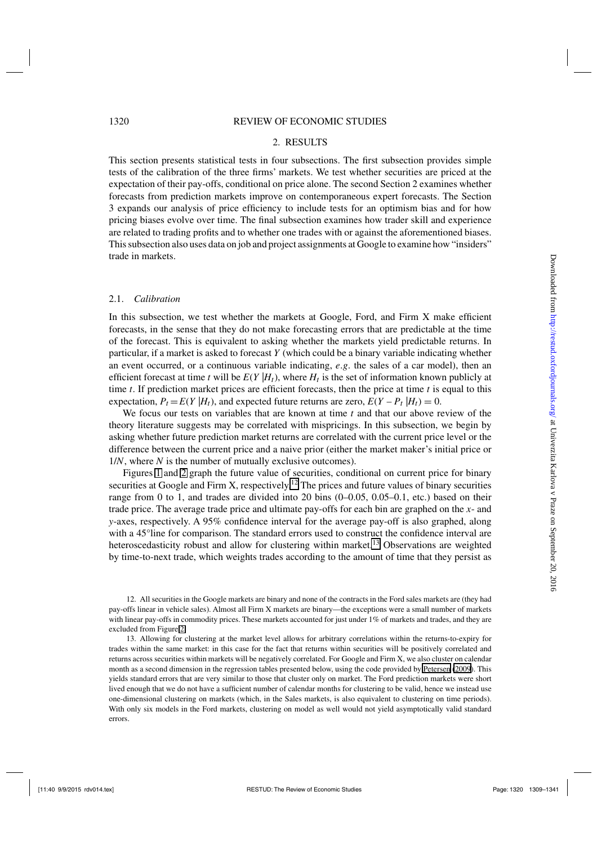#### 2. RESULTS

This section presents statistical tests in four subsections. The first subsection provides simple tests of the calibration of the three firms' markets. We test whether securities are priced at the expectation of their pay-offs, conditional on price alone. The second Section 2 examines whether forecasts from prediction markets improve on contemporaneous expert forecasts. The Section 3 expands our analysis of price efficiency to include tests for an optimism bias and for how pricing biases evolve over time. The final subsection examines how trader skill and experience are related to trading profits and to whether one trades with or against the aforementioned biases. This subsection also uses data on job and project assignments at Google to examine how "insiders" trade in markets.

#### 2.1. *Calibration*

In this subsection, we test whether the markets at Google, Ford, and Firm X make efficient forecasts, in the sense that they do not make forecasting errors that are predictable at the time of the forecast. This is equivalent to asking whether the markets yield predictable returns. In particular, if a market is asked to forecast *Y* (which could be a binary variable indicating whether an event occurred, or a continuous variable indicating, *e*.*g*. the sales of a car model), then an efficient forecast at time *t* will be  $E(Y|H_t)$ , where  $H_t$  is the set of information known publicly at time  $t$ . If prediction market prices are efficient forecasts, then the price at time  $t$  is equal to this expectation,  $P_t = E(Y | H_t)$ , and expected future returns are zero,  $E(Y - P_t | H_t) = 0$ .

We focus our tests on variables that are known at time *t* and that our above review of the theory literature suggests may be correlated with mispricings. In this subsection, we begin by asking whether future prediction market returns are correlated with the current price level or the difference between the current price and a naive prior (either the market maker's initial price or 1/*N*, where *N* is the number of mutually exclusive outcomes).

Figures [1](#page-12-0) and [2](#page-13-0) graph the future value of securities, conditional on current price for binary securities at Google and Firm X, respectively.<sup>12</sup> The prices and future values of binary securities range from 0 to 1, and trades are divided into 20 bins (0–0.05, 0.05–0.1, etc.) based on their trade price. The average trade price and ultimate pay-offs for each bin are graphed on the *x*- and *y*-axes, respectively. A 95% confidence interval for the average pay-off is also graphed, along with a 45°line for comparison. The standard errors used to construct the confidence interval are heteroscedasticity robust and allow for clustering within market.<sup>13</sup> Observations are weighted by time-to-next trade, which weights trades according to the amount of time that they persist as

12. All securities in the Google markets are binary and none of the contracts in the Ford sales markets are (they had pay-offs linear in vehicle sales). Almost all Firm X markets are binary—the exceptions were a small number of markets with linear pay-offs in commodity prices. These markets accounted for just under 1% of markets and trades, and they are excluded from Figure [2.](#page-13-0)

13. Allowing for clustering at the market level allows for arbitrary correlations within the returns-to-expiry for trades within the same market: in this case for the fact that returns within securities will be positively correlated and returns across securities within markets will be negatively correlated. For Google and Firm X, we also cluster on calendar month as a second dimension in the regression tables presented below, using the code provided by [Petersen](#page-32-0) [\(2009\)](#page-32-0). This yields standard errors that are very similar to those that cluster only on market. The Ford prediction markets were short lived enough that we do not have a sufficient number of calendar months for clustering to be valid, hence we instead use one-dimensional clustering on markets (which, in the Sales markets, is also equivalent to clustering on time periods). With only six models in the Ford markets, clustering on model as well would not yield asymptotically valid standard errors.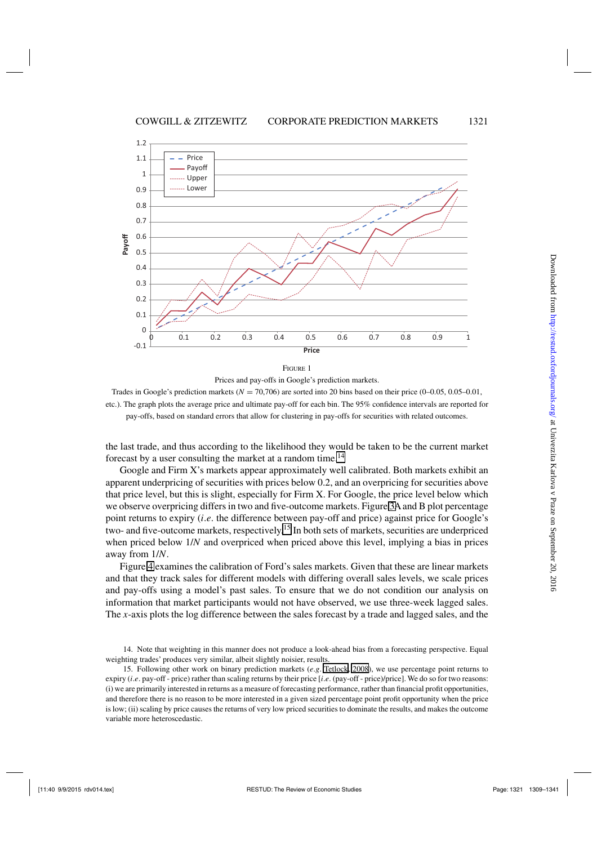<span id="page-12-0"></span>

FIGURE 1 Prices and pay-offs in Google's prediction markets.

Trades in Google's prediction markets ( $N = 70,706$ ) are sorted into 20 bins based on their price (0–0.05, 0.05–0.01, etc.). The graph plots the average price and ultimate pay-off for each bin. The 95% confidence intervals are reported for pay-offs, based on standard errors that allow for clustering in pay-offs for securities with related outcomes.

the last trade, and thus according to the likelihood they would be taken to be the current market forecast by a user consulting the market at a random time.<sup>14</sup>

Google and Firm X's markets appear approximately well calibrated. Both markets exhibit an apparent underpricing of securities with prices below 0.2, and an overpricing for securities above that price level, but this is slight, especially for Firm X. For Google, the price level below which we observe overpricing differs in two and five-outcome markets. Figure [3A](#page-14-0) and B plot percentage point returns to expiry (*i*.*e*. the difference between pay-off and price) against price for Google's two- and five-outcome markets, respectively.<sup>15</sup> In both sets of markets, securities are underpriced when priced below  $1/N$  and overpriced when priced above this level, implying a bias in prices away from 1/*N*.

Figure [4](#page-15-0) examines the calibration of Ford's sales markets. Given that these are linear markets and that they track sales for different models with differing overall sales levels, we scale prices and pay-offs using a model's past sales. To ensure that we do not condition our analysis on information that market participants would not have observed, we use three-week lagged sales. The *x*-axis plots the log difference between the sales forecast by a trade and lagged sales, and the

14. Note that weighting in this manner does not produce a look-ahead bias from a forecasting perspective. Equal weighting trades' produces very similar, albeit slightly noisier, results.

15. Following other work on binary prediction markets (*e*.*g*. [Tetlock](#page-32-0), [2008\)](#page-32-0), we use percentage point returns to expiry (*i*.*e*. pay-off - price) rather than scaling returns by their price [*i*.*e*. (pay-off - price)/price]. We do so for two reasons: (i) we are primarily interested in returns as a measure of forecasting performance, rather than financial profit opportunities, and therefore there is no reason to be more interested in a given sized percentage point profit opportunity when the price is low; (ii) scaling by price causes the returns of very low priced securities to dominate the results, and makes the outcome variable more heteroscedastic.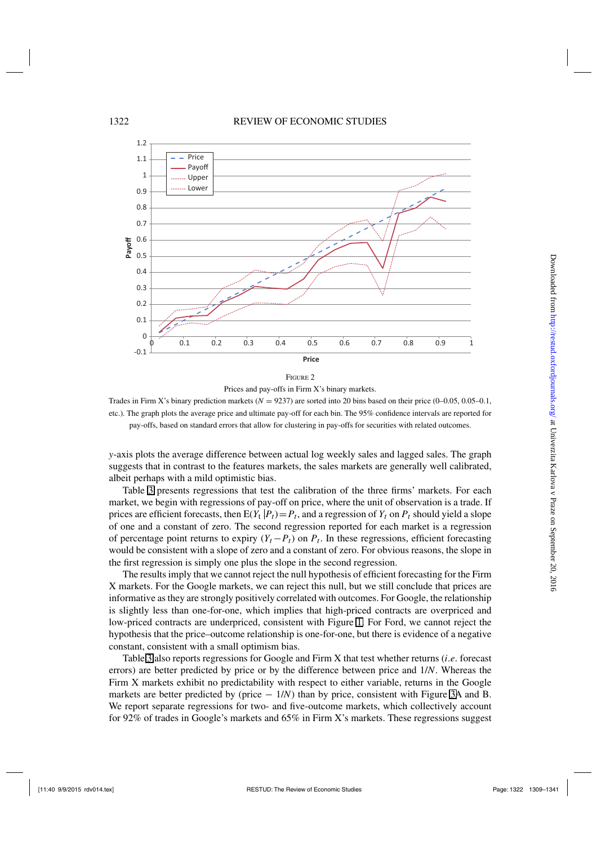<span id="page-13-0"></span>

Prices and pay-offs in Firm X's binary markets.

Trades in Firm X's binary prediction markets  $(N = 9237)$  are sorted into 20 bins based on their price  $(0-0.05, 0.05-0.1,$ etc.). The graph plots the average price and ultimate pay-off for each bin. The 95% confidence intervals are reported for pay-offs, based on standard errors that allow for clustering in pay-offs for securities with related outcomes.

*y*-axis plots the average difference between actual log weekly sales and lagged sales. The graph suggests that in contrast to the features markets, the sales markets are generally well calibrated, albeit perhaps with a mild optimistic bias.

Table [3](#page-16-0) presents regressions that test the calibration of the three firms' markets. For each market, we begin with regressions of pay-off on price, where the unit of observation is a trade. If prices are efficient forecasts, then  $E(Y_t | P_t) = P_t$ , and a regression of  $Y_t$  on  $P_t$  should yield a slope of one and a constant of zero. The second regression reported for each market is a regression of percentage point returns to expiry  $(Y_t - P_t)$  on  $P_t$ . In these regressions, efficient forecasting would be consistent with a slope of zero and a constant of zero. For obvious reasons, the slope in the first regression is simply one plus the slope in the second regression.

The results imply that we cannot reject the null hypothesis of efficient forecasting for the Firm X markets. For the Google markets, we can reject this null, but we still conclude that prices are informative as they are strongly positively correlated with outcomes. For Google, the relationship is slightly less than one-for-one, which implies that high-priced contracts are overpriced and low-priced contracts are underpriced, consistent with Figure [1.](#page-12-0) For Ford, we cannot reject the hypothesis that the price–outcome relationship is one-for-one, but there is evidence of a negative constant, consistent with a small optimism bias.

Table [3](#page-16-0) also reports regressions for Google and Firm X that test whether returns (*i*.*e*. forecast errors) are better predicted by price or by the difference between price and 1/*N*. Whereas the Firm X markets exhibit no predictability with respect to either variable, returns in the Google markets are better predicted by (price − 1/*N*) than by price, consistent with Figure [3A](#page-14-0) and B. We report separate regressions for two- and five-outcome markets, which collectively account for 92% of trades in Google's markets and 65% in Firm X's markets. These regressions suggest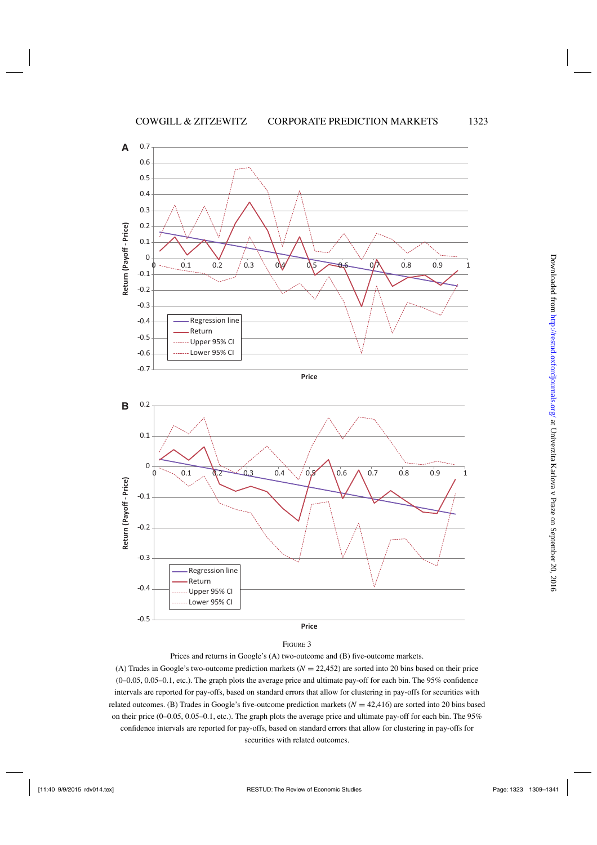<span id="page-14-0"></span>



Prices and returns in Google's (A) two-outcome and (B) five-outcome markets.

(A) Trades in Google's two-outcome prediction markets  $(N = 22,452)$  are sorted into 20 bins based on their price (0–0.05, 0.05–0.1, etc.). The graph plots the average price and ultimate pay-off for each bin. The 95% confidence intervals are reported for pay-offs, based on standard errors that allow for clustering in pay-offs for securities with related outcomes. (B) Trades in Google's five-outcome prediction markets  $(N = 42.416)$  are sorted into 20 bins based on their price (0–0.05, 0.05–0.1, etc.). The graph plots the average price and ultimate pay-off for each bin. The 95% confidence intervals are reported for pay-offs, based on standard errors that allow for clustering in pay-offs for securities with related outcomes.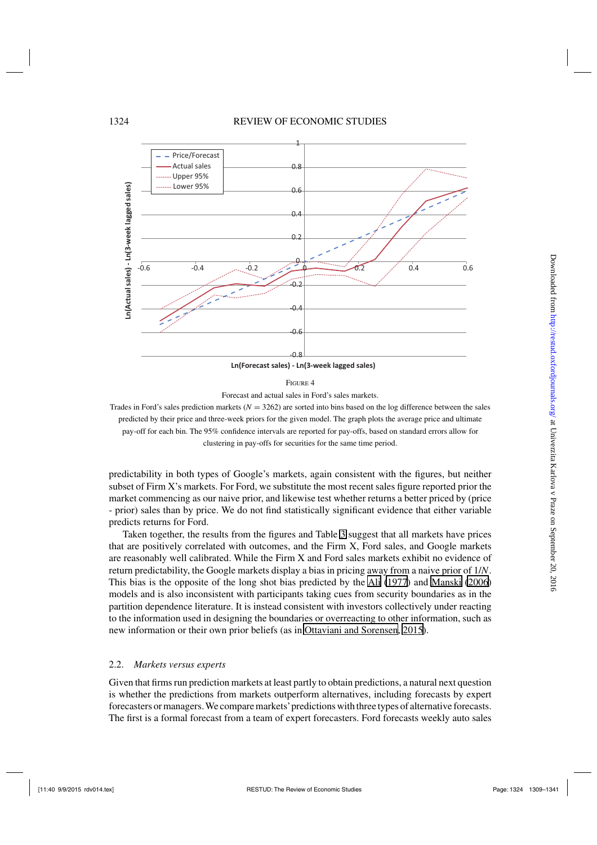<span id="page-15-0"></span>

FIGURE 4

Forecast and actual sales in Ford's sales markets.

Trades in Ford's sales prediction markets ( $N = 3262$ ) are sorted into bins based on the log difference between the sales predicted by their price and three-week priors for the given model. The graph plots the average price and ultimate pay-off for each bin. The 95% confidence intervals are reported for pay-offs, based on standard errors allow for clustering in pay-offs for securities for the same time period.

predictability in both types of Google's markets, again consistent with the figures, but neither subset of Firm X's markets. For Ford, we substitute the most recent sales figure reported prior the market commencing as our naive prior, and likewise test whether returns a better priced by (price - prior) sales than by price. We do not find statistically significant evidence that either variable predicts returns for Ford.

Taken together, the results from the figures and Table [3](#page-16-0) suggest that all markets have prices that are positively correlated with outcomes, and the Firm X, Ford sales, and Google markets are reasonably well calibrated. While the Firm X and Ford sales markets exhibit no evidence of return predictability, the Google markets display a bias in pricing away from a naive prior of 1/*N*. This bias is the opposite of the long shot bias predicted by the [Ali](#page-30-0) [\(1977](#page-30-0)) and [Manski](#page-31-0) [\(2006\)](#page-31-0) models and is also inconsistent with participants taking cues from security boundaries as in the partition dependence literature. It is instead consistent with investors collectively under reacting to the information used in designing the boundaries or overreacting to other information, such as new information or their own prior beliefs (as in [Ottaviani and Sorensen, 2015\)](#page-32-0).

# 2.2. *Markets versus experts*

Given that firms run prediction markets at least partly to obtain predictions, a natural next question is whether the predictions from markets outperform alternatives, including forecasts by expert forecasters or managers.We compare markets'predictions with three types of alternative forecasts. The first is a formal forecast from a team of expert forecasters. Ford forecasts weekly auto sales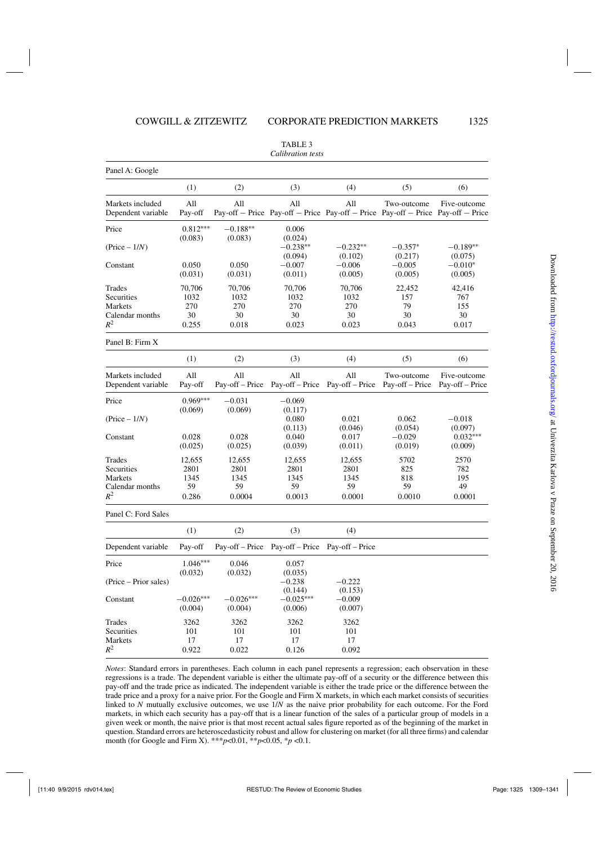<span id="page-16-0"></span>

| Panel A: Google                        |                        |                        |                                                 |                                                                                        |                                |                                 |
|----------------------------------------|------------------------|------------------------|-------------------------------------------------|----------------------------------------------------------------------------------------|--------------------------------|---------------------------------|
|                                        | (1)                    | (2)                    | (3)                                             | (4)                                                                                    | (5)                            | (6)                             |
| Markets included<br>Dependent variable | All<br>Pay-off         | All                    | All                                             | All<br>Pay-off – Price Pay-off – Price Pay-off – Price Pay-off – Price Pay-off – Price | Two-outcome                    | Five-outcome                    |
| Price                                  | $0.812***$<br>(0.083)  | $-0.188**$<br>(0.083)  | 0.006<br>(0.024)                                |                                                                                        |                                |                                 |
| $(Price - 1/N)$                        |                        |                        | $-0.238**$<br>(0.094)                           | $-0.232**$<br>(0.102)                                                                  | $-0.357*$<br>(0.217)           | $-0.189**$<br>(0.075)           |
| Constant                               | 0.050<br>(0.031)       | 0.050<br>(0.031)       | $-0.007$<br>(0.011)                             | $-0.006$<br>(0.005)                                                                    | $-0.005$<br>(0.005)            | $-0.010*$<br>(0.005)            |
| Trades                                 | 70.706                 | 70.706                 | 70.706                                          | 70.706                                                                                 | 22,452                         | 42,416                          |
| Securities                             | 1032                   | 1032                   | 1032                                            | 1032                                                                                   | 157                            | 767                             |
| Markets                                | 270                    | 270                    | 270                                             | 270                                                                                    | 79                             | 155                             |
| Calendar months                        | 30                     | 30                     | 30                                              | 30                                                                                     | 30                             | 30                              |
| $R^2$                                  | 0.255                  | 0.018                  | 0.023                                           | 0.023                                                                                  | 0.043                          | 0.017                           |
| Panel B: Firm X                        |                        |                        |                                                 |                                                                                        |                                |                                 |
|                                        | (1)                    | (2)                    | (3)                                             | (4)                                                                                    | (5)                            | (6)                             |
| Markets included<br>Dependent variable | All<br>Pay-off         | All<br>Pay-off – Price | All<br>Pay-off - Price                          | All<br>Pay-off – Price                                                                 | Two-outcome<br>Pay-off – Price | Five-outcome<br>Pay-off – Price |
| Price                                  | $0.969***$<br>(0.069)  | $-0.031$<br>(0.069)    | $-0.069$<br>(0.117)                             |                                                                                        |                                |                                 |
| $(Price - 1/N)$                        |                        |                        | 0.080<br>(0.113)                                | 0.021<br>(0.046)                                                                       | 0.062<br>(0.054)               | $-0.018$<br>(0.097)             |
| Constant                               | 0.028<br>(0.025)       | 0.028<br>(0.025)       | 0.040<br>(0.039)                                | 0.017<br>(0.011)                                                                       | $-0.029$<br>(0.019)            | $0.032***$<br>(0.009)           |
| Trades                                 | 12.655                 | 12,655                 | 12.655                                          | 12.655                                                                                 | 5702                           | 2570                            |
| Securities                             | 2801                   | 2801                   | 2801                                            | 2801                                                                                   | 825                            | 782                             |
| Markets                                | 1345                   | 1345                   | 1345                                            | 1345                                                                                   | 818                            | 195                             |
| Calendar months                        | 59                     | 59                     | 59                                              | 59                                                                                     | 59                             | 49                              |
| $R^2$                                  | 0.286                  | 0.0004                 | 0.0013                                          | 0.0001                                                                                 | 0.0010                         | 0.0001                          |
| Panel C: Ford Sales                    |                        |                        |                                                 |                                                                                        |                                |                                 |
|                                        | (1)                    | (2)                    | (3)                                             | (4)                                                                                    |                                |                                 |
| Dependent variable                     | Pay-off                |                        | Pay-off – Price Pay-off – Price Pay-off – Price |                                                                                        |                                |                                 |
| Price                                  | $1.046***$             | 0.046                  | 0.057                                           |                                                                                        |                                |                                 |
| (Price – Prior sales)                  | (0.032)                | (0.032)                | (0.035)<br>$-0.238$                             | $-0.222$                                                                               |                                |                                 |
|                                        |                        |                        | (0.144)                                         | (0.153)                                                                                |                                |                                 |
| Constant                               | $-0.026***$<br>(0.004) | $-0.026***$<br>(0.004) | $-0.025***$<br>(0.006)                          | $-0.009$<br>(0.007)                                                                    |                                |                                 |
| Trades                                 | 3262                   | 3262                   | 3262                                            | 3262                                                                                   |                                |                                 |
| Securities                             | 101                    | 101                    | 101                                             | 101                                                                                    |                                |                                 |
| Markets                                | 17                     | 17                     | 17                                              | 17                                                                                     |                                |                                 |
| $R^2$                                  | 0.922                  | 0.022                  | 0.126                                           | 0.092                                                                                  |                                |                                 |

TABLE 3 *Calibration tests*

*Notes*: Standard errors in parentheses. Each column in each panel represents a regression; each observation in these regressions is a trade. The dependent variable is either the ultimate pay-off of a security or the difference between this pay-off and the trade price as indicated. The independent variable is either the trade price or the difference between the trade price and a proxy for a naive prior. For the Google and Firm X markets, in which each market consists of securities linked to *N* mutually exclusive outcomes, we use 1/*N* as the naive prior probability for each outcome. For the Ford markets, in which each security has a pay-off that is a linear function of the sales of a particular group of models in a given week or month, the naive prior is that most recent actual sales figure reported as of the beginning of the market in question. Standard errors are heteroscedasticity robust and allow for clustering on market (for all three firms) and calendar month (for Google and Firm X). \*\*\**p*<0.01, \*\**p*<0.05, \**p* <0.1.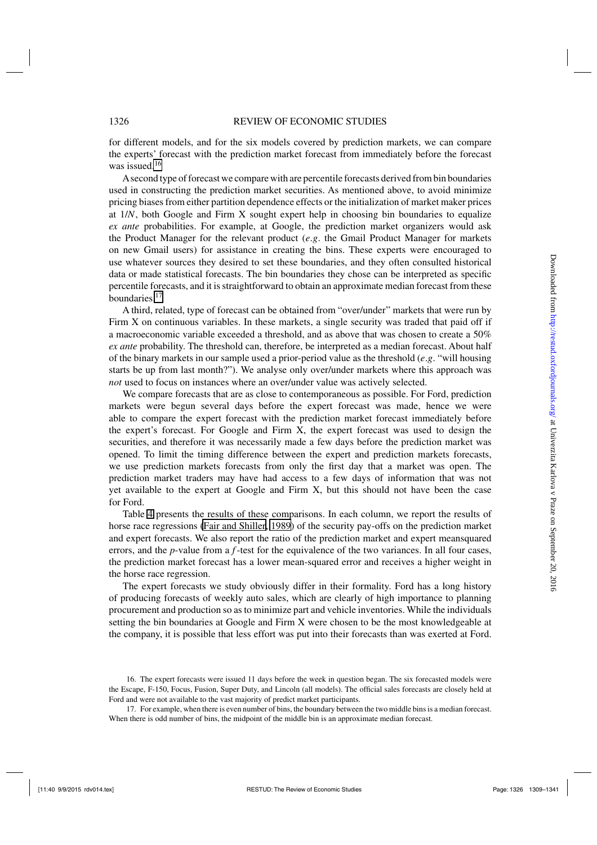for different models, and for the six models covered by prediction markets, we can compare the experts' forecast with the prediction market forecast from immediately before the forecast was issued.<sup>16</sup>

Asecond type of forecast we compare with are percentile forecasts derived from bin boundaries used in constructing the prediction market securities. As mentioned above, to avoid minimize pricing biases from either partition dependence effects or the initialization of market maker prices at 1/*N*, both Google and Firm X sought expert help in choosing bin boundaries to equalize *ex ante* probabilities. For example, at Google, the prediction market organizers would ask the Product Manager for the relevant product (*e*.*g*. the Gmail Product Manager for markets on new Gmail users) for assistance in creating the bins. These experts were encouraged to use whatever sources they desired to set these boundaries, and they often consulted historical data or made statistical forecasts. The bin boundaries they chose can be interpreted as specific percentile forecasts, and it is straightforward to obtain an approximate median forecast from these boundaries.<sup>17</sup>

A third, related, type of forecast can be obtained from "over/under" markets that were run by Firm X on continuous variables. In these markets, a single security was traded that paid off if a macroeconomic variable exceeded a threshold, and as above that was chosen to create a 50% *ex ante* probability. The threshold can, therefore, be interpreted as a median forecast. About half of the binary markets in our sample used a prior-period value as the threshold (*e*.*g*. "will housing starts be up from last month?"). We analyse only over/under markets where this approach was *not* used to focus on instances where an over/under value was actively selected.

We compare forecasts that are as close to contemporaneous as possible. For Ford, prediction markets were begun several days before the expert forecast was made, hence we were able to compare the expert forecast with the prediction market forecast immediately before the expert's forecast. For Google and Firm X, the expert forecast was used to design the securities, and therefore it was necessarily made a few days before the prediction market was opened. To limit the timing difference between the expert and prediction markets forecasts, we use prediction markets forecasts from only the first day that a market was open. The prediction market traders may have had access to a few days of information that was not yet available to the expert at Google and Firm X, but this should not have been the case for Ford.

Table [4](#page-18-0) presents the results of these comparisons. In each column, we report the results of horse race regressions [\(Fair and Shiller](#page-31-0), [1989](#page-31-0)) of the security pay-offs on the prediction market and expert forecasts. We also report the ratio of the prediction market and expert meansquared errors, and the *p*-value from a *f* -test for the equivalence of the two variances. In all four cases, the prediction market forecast has a lower mean-squared error and receives a higher weight in the horse race regression.

The expert forecasts we study obviously differ in their formality. Ford has a long history of producing forecasts of weekly auto sales, which are clearly of high importance to planning procurement and production so as to minimize part and vehicle inventories. While the individuals setting the bin boundaries at Google and Firm X were chosen to be the most knowledgeable at the company, it is possible that less effort was put into their forecasts than was exerted at Ford.

<sup>16.</sup> The expert forecasts were issued 11 days before the week in question began. The six forecasted models were the Escape, F-150, Focus, Fusion, Super Duty, and Lincoln (all models). The official sales forecasts are closely held at Ford and were not available to the vast majority of predict market participants.

<sup>17.</sup> For example, when there is even number of bins, the boundary between the two middle bins is a median forecast. When there is odd number of bins, the midpoint of the middle bin is an approximate median forecast.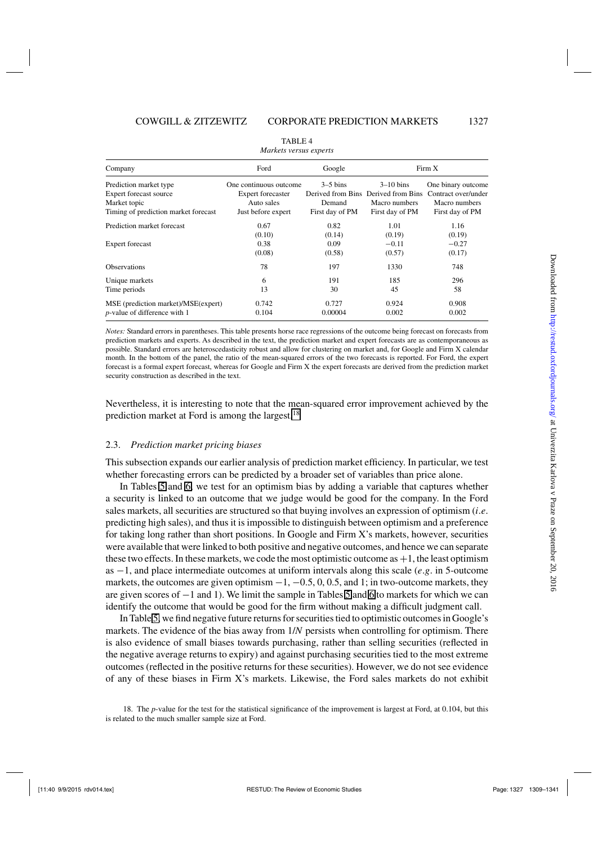<span id="page-18-0"></span>

| Company                                                                                                  | Ford                                                                            | Google                                          |                                                 | Firm X                                                                                                            |
|----------------------------------------------------------------------------------------------------------|---------------------------------------------------------------------------------|-------------------------------------------------|-------------------------------------------------|-------------------------------------------------------------------------------------------------------------------|
| Prediction market type<br>Expert forecast source<br>Market topic<br>Timing of prediction market forecast | One continuous outcome<br>Expert forecaster<br>Auto sales<br>Just before expert | $3-5 \text{ bins}$<br>Demand<br>First day of PM | $3-10$ bins<br>Macro numbers<br>First day of PM | One binary outcome<br>Derived from Bins Derived from Bins Contract over/under<br>Macro numbers<br>First day of PM |
| Prediction market forecast<br><b>Expert forecast</b>                                                     | 0.67<br>(0.10)<br>0.38                                                          | 0.82<br>(0.14)<br>0.09                          | 1.01<br>(0.19)<br>$-0.11$                       | 1.16<br>(0.19)<br>$-0.27$                                                                                         |
| <b>Observations</b>                                                                                      | (0.08)                                                                          | (0.58)                                          | (0.57)                                          | (0.17)                                                                                                            |
|                                                                                                          | 78                                                                              | 197                                             | 1330                                            | 748                                                                                                               |
| Unique markets                                                                                           | 6                                                                               | 191                                             | 185                                             | 296                                                                                                               |
| Time periods                                                                                             | 13                                                                              | 30                                              | 45                                              | 58                                                                                                                |
| MSE (prediction market)/MSE(expert)                                                                      | 0.742                                                                           | 0.727                                           | 0.924                                           | 0.908                                                                                                             |
| $p$ -value of difference with 1                                                                          | 0.104                                                                           | 0.00004                                         | 0.002                                           | 0.002                                                                                                             |

TABLE 4 *Markets versus experts*

*Notes:* Standard errors in parentheses. This table presents horse race regressions of the outcome being forecast on forecasts from prediction markets and experts. As described in the text, the prediction market and expert forecasts are as contemporaneous as possible. Standard errors are heteroscedasticity robust and allow for clustering on market and, for Google and Firm X calendar month. In the bottom of the panel, the ratio of the mean-squared errors of the two forecasts is reported. For Ford, the expert forecast is a formal expert forecast, whereas for Google and Firm X the expert forecasts are derived from the prediction market security construction as described in the text.

Nevertheless, it is interesting to note that the mean-squared error improvement achieved by the prediction market at Ford is among the largest.<sup>18</sup>

#### 2.3. *Prediction market pricing biases*

This subsection expands our earlier analysis of prediction market efficiency. In particular, we test whether forecasting errors can be predicted by a broader set of variables than price alone.

In Tables [5](#page-19-0) and [6,](#page-20-0) we test for an optimism bias by adding a variable that captures whether a security is linked to an outcome that we judge would be good for the company. In the Ford sales markets, all securities are structured so that buying involves an expression of optimism (*i*.*e*. predicting high sales), and thus it is impossible to distinguish between optimism and a preference for taking long rather than short positions. In Google and Firm X's markets, however, securities were available that were linked to both positive and negative outcomes, and hence we can separate these two effects. In these markets, we code the most optimistic outcome as  $+1$ , the least optimism as −1, and place intermediate outcomes at uniform intervals along this scale (*e*.*g*. in 5-outcome markets, the outcomes are given optimism  $-1$ ,  $-0.5$ ,  $0$ ,  $0.5$ , and 1; in two-outcome markets, they are given scores of −1 and 1). We limit the sample in Tables [5](#page-19-0) and [6](#page-20-0) to markets for which we can identify the outcome that would be good for the firm without making a difficult judgment call.

In Table [5,](#page-19-0) we find negative future returns for securities tied to optimistic outcomes in Google's markets. The evidence of the bias away from  $1/N$  persists when controlling for optimism. There is also evidence of small biases towards purchasing, rather than selling securities (reflected in the negative average returns to expiry) and against purchasing securities tied to the most extreme outcomes (reflected in the positive returns for these securities). However, we do not see evidence of any of these biases in Firm X's markets. Likewise, the Ford sales markets do not exhibit

18. The *p*-value for the test for the statistical significance of the improvement is largest at Ford, at 0.104, but this is related to the much smaller sample size at Ford.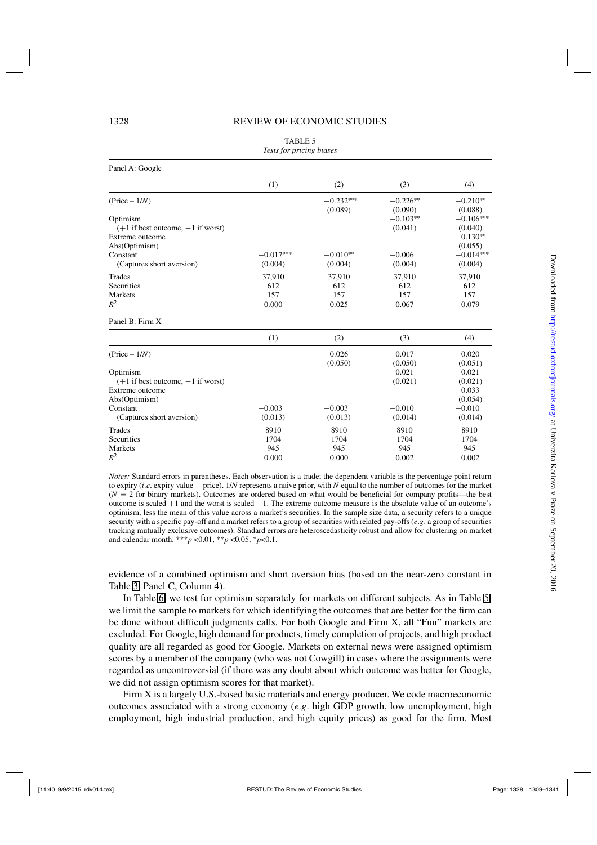## <span id="page-19-0"></span>1328 REVIEW OF ECONOMIC STUDIES

| Panel A: Google                       |             |                        |                       |                       |
|---------------------------------------|-------------|------------------------|-----------------------|-----------------------|
|                                       | (1)         | (2)                    | (3)                   | (4)                   |
| $(Price - 1/N)$                       |             | $-0.232***$<br>(0.089) | $-0.226**$<br>(0.090) | $-0.210**$<br>(0.088) |
| Optimism                              |             |                        | $-0.103**$            | $-0.106***$           |
| $(+1$ if best outcome, $-1$ if worst) |             |                        | (0.041)               | (0.040)               |
| Extreme outcome                       |             |                        |                       | $0.130**$             |
| Abs(Optimism)                         |             |                        |                       | (0.055)               |
| Constant                              | $-0.017***$ | $-0.010**$             | $-0.006$              | $-0.014***$           |
| (Captures short aversion)             | (0.004)     | (0.004)                | (0.004)               | (0.004)               |
| Trades                                | 37,910      | 37,910                 | 37,910                | 37,910                |
| Securities                            | 612         | 612                    | 612                   | 612                   |
| Markets                               | 157         | 157                    | 157                   | 157                   |
| $R^2$                                 | 0.000       | 0.025                  | 0.067                 | 0.079                 |
| Panel B: Firm X                       |             |                        |                       |                       |
|                                       | (1)         | (2)                    | (3)                   | (4)                   |
| $(Price - 1/N)$                       |             | 0.026                  | 0.017                 | 0.020                 |
|                                       |             | (0.050)                | (0.050)               | (0.051)               |
| Optimism                              |             |                        | 0.021                 | 0.021                 |
| $(+1$ if best outcome, $-1$ if worst) |             |                        | (0.021)               | (0.021)               |
| Extreme outcome                       |             |                        |                       | 0.033<br>(0.054)      |
| Abs(Optimism)<br>Constant             | $-0.003$    | $-0.003$               | $-0.010$              | $-0.010$              |
| (Captures short aversion)             | (0.013)     | (0.013)                | (0.014)               | (0.014)               |
|                                       |             |                        |                       |                       |
| Trades                                | 8910        | 8910                   | 8910                  | 8910                  |
| Securities<br>Markets                 | 1704<br>945 | 1704<br>945            | 1704<br>945           | 1704                  |
| $R^2$                                 | 0.000       | 0.000                  | 0.002                 | 945<br>0.002          |
|                                       |             |                        |                       |                       |

| TABLE 5                  |
|--------------------------|
| Tests for pricing biases |

*Notes:* Standard errors in parentheses. Each observation is a trade; the dependent variable is the percentage point return to expiry (*i*.*e*. expiry value − price). 1/*N* represents a naive prior, with *N* equal to the number of outcomes for the market  $(N = 2$  for binary markets). Outcomes are ordered based on what would be beneficial for company profits—the best outcome is scaled +1 and the worst is scaled −1. The extreme outcome measure is the absolute value of an outcome's optimism, less the mean of this value across a market's securities. In the sample size data, a security refers to a unique security with a specific pay-off and a market refers to a group of securities with related pay-offs (*e*.*g*. a group of securities tracking mutually exclusive outcomes). Standard errors are heteroscedasticity robust and allow for clustering on market and calendar month. \*\*\**p* <0.01, \*\**p* <0.05, \**p*<0.1.

evidence of a combined optimism and short aversion bias (based on the near-zero constant in Table [3,](#page-16-0) Panel C, Column 4).

In Table [6,](#page-20-0) we test for optimism separately for markets on different subjects. As in Table 5, we limit the sample to markets for which identifying the outcomes that are better for the firm can be done without difficult judgments calls. For both Google and Firm X, all "Fun" markets are excluded. For Google, high demand for products, timely completion of projects, and high product quality are all regarded as good for Google. Markets on external news were assigned optimism scores by a member of the company (who was not Cowgill) in cases where the assignments were regarded as uncontroversial (if there was any doubt about which outcome was better for Google, we did not assign optimism scores for that market).

Firm X is a largely U.S.-based basic materials and energy producer. We code macroeconomic outcomes associated with a strong economy  $(e.g.$  high GDP growth, low unemployment, high employment, high industrial production, and high equity prices) as good for the firm. Most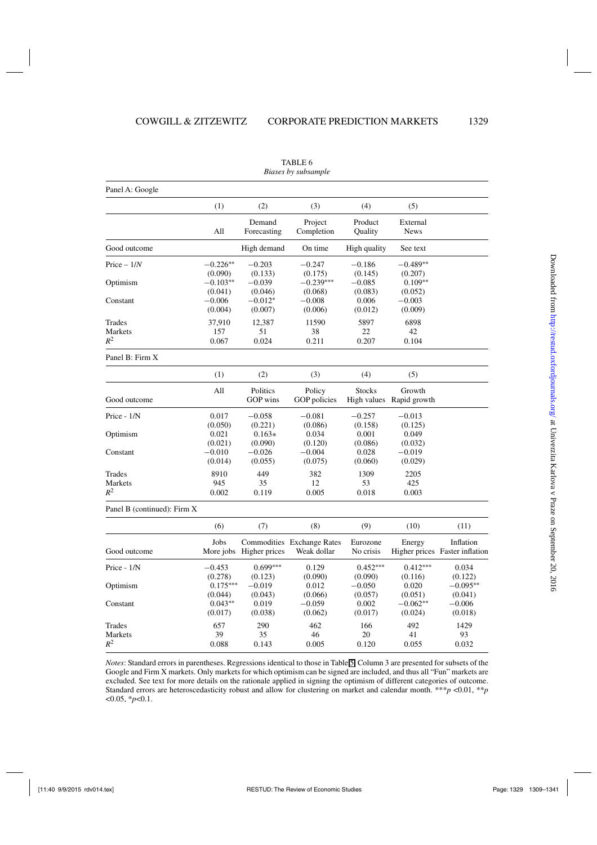<span id="page-20-0"></span>

| Panel A: Google             |                                     |                                 |                                           |                                 |                                    |                                             |
|-----------------------------|-------------------------------------|---------------------------------|-------------------------------------------|---------------------------------|------------------------------------|---------------------------------------------|
|                             | (1)                                 | (2)                             | (3)                                       | (4)                             | (5)                                |                                             |
|                             | All                                 | Demand<br>Forecasting           | Project<br>Completion                     | Product<br>Quality              | External<br><b>News</b>            |                                             |
| Good outcome                |                                     | High demand                     | On time                                   | High quality                    | See text                           |                                             |
| Price $-1/N$<br>Optimism    | $-0.226**$<br>(0.090)<br>$-0.103**$ | $-0.203$<br>(0.133)<br>$-0.039$ | $-0.247$<br>(0.175)<br>$-0.239***$        | $-0.186$<br>(0.145)<br>$-0.085$ | $-0.489**$<br>(0.207)<br>$0.109**$ |                                             |
| Constant                    | (0.041)<br>$-0.006$<br>(0.004)      | (0.046)<br>$-0.012*$<br>(0.007) | (0.068)<br>$-0.008$<br>(0.006)            | (0.083)<br>0.006<br>(0.012)     | (0.052)<br>$-0.003$<br>(0.009)     |                                             |
| Trades<br>Markets<br>$R^2$  | 37,910<br>157<br>0.067              | 12,387<br>51<br>0.024           | 11590<br>38<br>0.211                      | 5897<br>22<br>0.207             | 6898<br>42<br>0.104                |                                             |
| Panel B: Firm X             |                                     |                                 |                                           |                                 |                                    |                                             |
|                             | (1)                                 | (2)                             | (3)                                       | (4)                             | (5)                                |                                             |
| Good outcome                | All                                 | Politics<br>GOP wins            | Policy<br>GOP policies                    | <b>Stocks</b>                   | Growth<br>High values Rapid growth |                                             |
| Price - 1/N                 | 0.017                               | $-0.058$                        | $-0.081$                                  | $-0.257$                        | $-0.013$                           |                                             |
| Optimism                    | (0.050)<br>0.021<br>(0.021)         | (0.221)<br>$0.163*$<br>(0.090)  | (0.086)<br>0.034<br>(0.120)               | (0.158)<br>0.001<br>(0.086)     | (0.125)<br>0.049<br>(0.032)        |                                             |
| Constant                    | $-0.010$<br>(0.014)                 | $-0.026$<br>(0.055)             | $-0.004$<br>(0.075)                       | 0.028<br>(0.060)                | $-0.019$<br>(0.029)                |                                             |
| Trades<br>Markets<br>$R^2$  | 8910<br>945<br>0.002                | 449<br>35<br>0.119              | 382<br>12<br>0.005                        | 1309<br>53<br>0.018             | 2205<br>425<br>0.003               |                                             |
| Panel B (continued): Firm X |                                     |                                 |                                           |                                 |                                    |                                             |
|                             | (6)                                 | (7)                             | (8)                                       | (9)                             | (10)                               | (11)                                        |
| Good outcome                | Jobs<br>More jobs                   | Higher prices                   | Commodities Exchange Rates<br>Weak dollar | Eurozone<br>No crisis           | Energy                             | Inflation<br>Higher prices Faster inflation |
| Price - 1/N                 | $-0.453$                            | $0.699***$                      | 0.129                                     | $0.452***$                      | $0.412***$                         | 0.034                                       |
| Optimism                    | (0.278)<br>$0.175***$<br>(0.044)    | (0.123)<br>$-0.019$<br>(0.043)  | (0.090)<br>0.012<br>(0.066)               | (0.090)<br>$-0.050$<br>(0.057)  | (0.116)<br>0.020<br>(0.051)        | (0.122)<br>$-0.095**$<br>(0.041)            |
| Constant                    | $0.043**$<br>(0.017)                | 0.019<br>(0.038)                | $-0.059$<br>(0.062)                       | 0.002<br>(0.017)                | $-0.062**$<br>(0.024)              | $-0.006$<br>(0.018)                         |
| Trades<br>Markets<br>$R^2$  | 657<br>39<br>0.088                  | 290<br>35<br>0.143              | 462<br>46<br>0.005                        | 166<br>20<br>0.120              | 492<br>41<br>0.055                 | 1429<br>93<br>0.032                         |

TABLE 6

*Biases by subsample*

*Notes*: Standard errors in parentheses. Regressions identical to those in Table [5,](#page-19-0) Column 3 are presented for subsets of the Google and Firm X markets. Only markets for which optimism can be signed are included, and thus all "Fun" markets are excluded. See text for more details on the rationale applied in signing the optimism of different categories of outcome. Standard errors are heteroscedasticity robust and allow for clustering on market and calendar month. \*\*\**p* <0.01, \*\**p*  $< 0.05, *p < 0.1$ .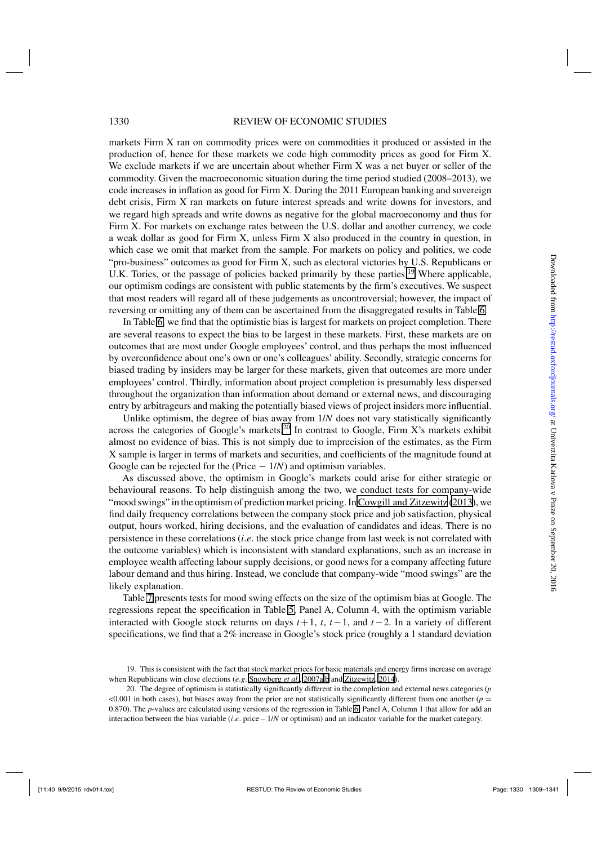markets Firm X ran on commodity prices were on commodities it produced or assisted in the production of, hence for these markets we code high commodity prices as good for Firm X. We exclude markets if we are uncertain about whether Firm X was a net buyer or seller of the commodity. Given the macroeconomic situation during the time period studied (2008–2013), we code increases in inflation as good for Firm X. During the 2011 European banking and sovereign debt crisis, Firm X ran markets on future interest spreads and write downs for investors, and we regard high spreads and write downs as negative for the global macroeconomy and thus for Firm X. For markets on exchange rates between the U.S. dollar and another currency, we code a weak dollar as good for Firm X, unless Firm X also produced in the country in question, in which case we omit that market from the sample. For markets on policy and politics, we code "pro-business" outcomes as good for Firm X, such as electoral victories by U.S. Republicans or U.K. Tories, or the passage of policies backed primarily by these parties.<sup>19</sup> Where applicable, our optimism codings are consistent with public statements by the firm's executives. We suspect that most readers will regard all of these judgements as uncontroversial; however, the impact of reversing or omitting any of them can be ascertained from the disaggregated results in Table [6.](#page-20-0)

In Table [6,](#page-20-0) we find that the optimistic bias is largest for markets on project completion. There are several reasons to expect the bias to be largest in these markets. First, these markets are on outcomes that are most under Google employees' control, and thus perhaps the most influenced by overconfidence about one's own or one's colleagues' ability. Secondly, strategic concerns for biased trading by insiders may be larger for these markets, given that outcomes are more under employees' control. Thirdly, information about project completion is presumably less dispersed throughout the organization than information about demand or external news, and discouraging entry by arbitrageurs and making the potentially biased views of project insiders more influential.

Unlike optimism, the degree of bias away from 1/*N* does not vary statistically significantly across the categories of Google's markets.<sup>20</sup> In contrast to Google, Firm X's markets exhibit almost no evidence of bias. This is not simply due to imprecision of the estimates, as the Firm X sample is larger in terms of markets and securities, and coefficients of the magnitude found at Google can be rejected for the (Price  $-1/N$ ) and optimism variables.

As discussed above, the optimism in Google's markets could arise for either strategic or behavioural reasons. To help distinguish among the two, we conduct tests for company-wide "mood swings" in the optimism of prediction market pricing. In [Cowgill and Zitzewitz](#page-31-0) [\(2013](#page-31-0)), we find daily frequency correlations between the company stock price and job satisfaction, physical output, hours worked, hiring decisions, and the evaluation of candidates and ideas. There is no persistence in these correlations (*i*.*e*. the stock price change from last week is not correlated with the outcome variables) which is inconsistent with standard explanations, such as an increase in employee wealth affecting labour supply decisions, or good news for a company affecting future labour demand and thus hiring. Instead, we conclude that company-wide "mood swings" are the likely explanation.

Table [7](#page-22-0) presents tests for mood swing effects on the size of the optimism bias at Google. The regressions repeat the specification in Table [5,](#page-19-0) Panel A, Column 4, with the optimism variable interacted with Google stock returns on days *t*+1, *t*, *t*−1, and *t*−2. In a variety of different specifications, we find that a 2% increase in Google's stock price (roughly a 1 standard deviation

<sup>19.</sup> This is consistent with the fact that stock market prices for basic materials and energy firms increase on average when Republicans win close elections (*e*.*g*. [Snowberg](#page-32-0) *et al.*, [2007a,b](#page-32-0) and [Zitzewitz, 2014\)](#page-32-0).

<sup>20.</sup> The degree of optimism is statistically significantly different in the completion and external news categories (*p*  $\leq$ 0.001 in both cases), but biases away from the prior are not statistically significantly different from one another ( $p =$ 0.870). The *p*-values are calculated using versions of the regression in Table [6,](#page-20-0) Panel A, Column 1 that allow for add an interaction between the bias variable (*i*.*e*. price – 1/*N* or optimism) and an indicator variable for the market category.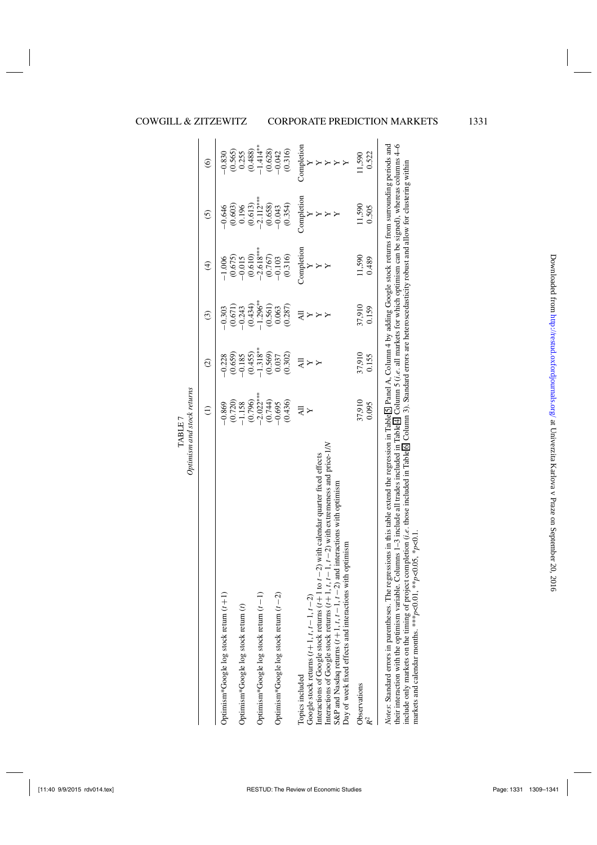<span id="page-22-0"></span>

|                                                                                                                                                                                                                                                                                                                                                                                                                                                                                                                                                                                                                                                          | Э                                 | $\widehat{\mathcal{O}}$                                       | $\odot$                            | $\widehat{t}$                  | $\tilde{c}$                                     | $\widehat{\circ}$                |
|----------------------------------------------------------------------------------------------------------------------------------------------------------------------------------------------------------------------------------------------------------------------------------------------------------------------------------------------------------------------------------------------------------------------------------------------------------------------------------------------------------------------------------------------------------------------------------------------------------------------------------------------------------|-----------------------------------|---------------------------------------------------------------|------------------------------------|--------------------------------|-------------------------------------------------|----------------------------------|
| Optimism*Google log stock return (t+1)                                                                                                                                                                                                                                                                                                                                                                                                                                                                                                                                                                                                                   | $-0.869$                          | $-0.228$                                                      | $-0.303$                           | $-1.006$                       | $-0.646$                                        | 0.830                            |
| Optimism*Google log stock return (t)                                                                                                                                                                                                                                                                                                                                                                                                                                                                                                                                                                                                                     | (0.720)<br>$-1.158$               | (0.659)<br>$-0.185$                                           | $(0.671)$<br>$-0.243$              | (0.675)<br>$-0.015$            | $\begin{array}{c} (0.603) \\ 0.196 \end{array}$ | (0.565)<br>0.255                 |
| Optimism*Google log stock return $(t-1)$                                                                                                                                                                                                                                                                                                                                                                                                                                                                                                                                                                                                                 | $(0.796)$<br>-2.022***<br>(0.744) | $\begin{array}{c} (0.455) \\ -1.318** \\ (0.569) \end{array}$ | $(0.434)$<br>-1.296**              | $(0.610)$<br>-2.618***         | $(0.613)$<br>-2.112***                          | $-1.414**$<br>(0.488)            |
| Optimism*Google log stock return $(t-2)$                                                                                                                                                                                                                                                                                                                                                                                                                                                                                                                                                                                                                 | (0.436)<br>$-0.695$               | (0.302)<br>0.037                                              | $\frac{(0.561)}{0.063}$<br>(0.287) | (0.316)<br>$(0.767)$<br>-0.103 | $(0.658)$<br>-0.043<br>(0.354)                  | $(0.628)$<br>$-0.042$<br>(0.316) |
| Interactions of Google stock returns $(t+1, t, t-1, t-2)$ with extremeness and price-I/N<br>to $t-2$ ) with calendar quarter fixed effects<br>2) and interactions with optimism<br>with optimism<br>S&P and Nasdaq returns $(t+1, t, t-1, t-$<br>Day of week fixed effects and interactions<br>Interactions of Google stock returns $(t+1)$<br>Google stock returns $(t+1, t, t-1, t-2)$<br>Topics included                                                                                                                                                                                                                                              | Ę                                 | $\overline{A}$                                                | $\overline{AB}$                    | Completion                     | Completion                                      | Completion<br>$\triangleright$   |
| Observations                                                                                                                                                                                                                                                                                                                                                                                                                                                                                                                                                                                                                                             | 37,910<br>0.095                   | 37,910<br>0.155                                               | 37,910<br>0.159                    | 1,590<br>0.489                 | 1,590<br>0.505                                  | 0.522<br>1,590                   |
| Notes: Standard errors in parentheses. The regressions in this table extend the regression in Table 5, Panel A, Column 4 by adding Google stock returns from surrounding periods and<br>their interaction with the optimism variable. Columns 1–3 include all trades included in Table 4, Column 5 ( <i>i.e.</i> all markets for which optimism can be signed), whereas columns 4–6<br>include only markets on the timing of project completion (i.e. those included in Table 6, Column 3). Standard errors are heteroscedasticity robust and allow for clustering within<br>markets and calendar months. *** $p < 0.01$ , ** $p < 0.05$ , * $p < 0.1$ . |                                   |                                                               |                                    |                                |                                                 |                                  |

Optimism and stock returns TABLE7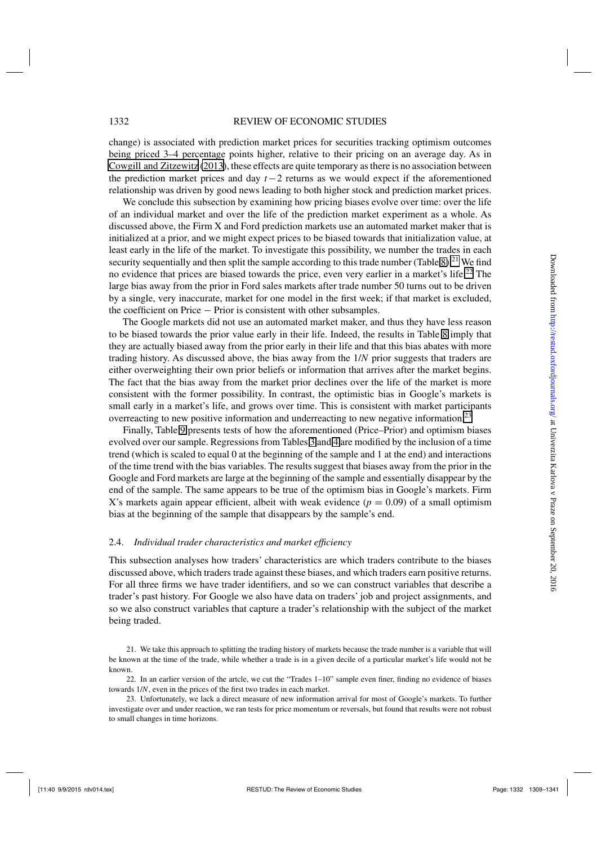change) is associated with prediction market prices for securities tracking optimism outcomes being priced 3–4 percentage points higher, relative to their pricing on an average day. As in [Cowgill and Zitzewitz](#page-31-0) [\(2013\)](#page-31-0), these effects are quite temporary as there is no association between the prediction market prices and day *t*−2 returns as we would expect if the aforementioned relationship was driven by good news leading to both higher stock and prediction market prices.

We conclude this subsection by examining how pricing biases evolve over time: over the life of an individual market and over the life of the prediction market experiment as a whole. As discussed above, the Firm X and Ford prediction markets use an automated market maker that is initialized at a prior, and we might expect prices to be biased towards that initialization value, at least early in the life of the market. To investigate this possibility, we number the trades in each security sequentially and then split the sample according to this trade number (Table [8\)](#page-24-0).<sup>21</sup> We find no evidence that prices are biased towards the price, even very earlier in a market's life.<sup>22</sup> The large bias away from the prior in Ford sales markets after trade number 50 turns out to be driven by a single, very inaccurate, market for one model in the first week; if that market is excluded, the coefficient on Price − Prior is consistent with other subsamples.

The Google markets did not use an automated market maker, and thus they have less reason to be biased towards the prior value early in their life. Indeed, the results in Table [8](#page-24-0) imply that they are actually biased away from the prior early in their life and that this bias abates with more trading history. As discussed above, the bias away from the 1/*N* prior suggests that traders are either overweighting their own prior beliefs or information that arrives after the market begins. The fact that the bias away from the market prior declines over the life of the market is more consistent with the former possibility. In contrast, the optimistic bias in Google's markets is small early in a market's life, and grows over time. This is consistent with market participants overreacting to new positive information and underreacting to new negative information.<sup>23</sup>

Finally, Table [9](#page-25-0) presents tests of how the aforementioned (Price–Prior) and optimism biases evolved over our sample. Regressions from Tables [3](#page-16-0) and [4](#page-18-0) are modified by the inclusion of a time trend (which is scaled to equal 0 at the beginning of the sample and 1 at the end) and interactions of the time trend with the bias variables. The results suggest that biases away from the prior in the Google and Ford markets are large at the beginning of the sample and essentially disappear by the end of the sample. The same appears to be true of the optimism bias in Google's markets. Firm X's markets again appear efficient, albeit with weak evidence  $(p = 0.09)$  of a small optimism bias at the beginning of the sample that disappears by the sample's end.

#### 2.4. *Individual trader characteristics and market efficiency*

This subsection analyses how traders' characteristics are which traders contribute to the biases discussed above, which traders trade against these biases, and which traders earn positive returns. For all three firms we have trader identifiers, and so we can construct variables that describe a trader's past history. For Google we also have data on traders' job and project assignments, and so we also construct variables that capture a trader's relationship with the subject of the market being traded.

<sup>21.</sup> We take this approach to splitting the trading history of markets because the trade number is a variable that will be known at the time of the trade, while whether a trade is in a given decile of a particular market's life would not be known.

<sup>22.</sup> In an earlier version of the artcle, we cut the "Trades 1–10" sample even finer, finding no evidence of biases towards 1/*N*, even in the prices of the first two trades in each market.

<sup>23.</sup> Unfortunately, we lack a direct measure of new information arrival for most of Google's markets. To further investigate over and under reaction, we ran tests for price momentum or reversals, but found that results were not robust to small changes in time horizons.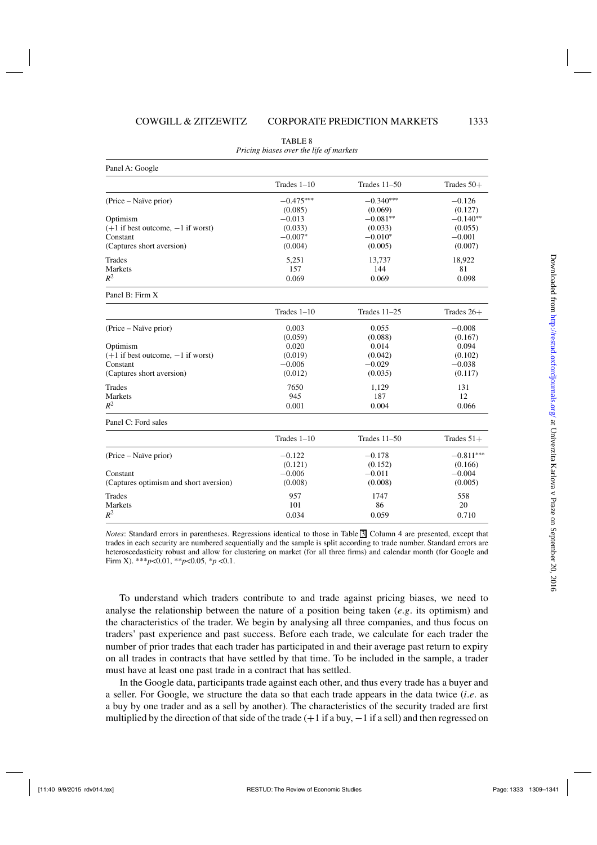<span id="page-24-0"></span>

| Panel A: Google                        |               |                     |              |
|----------------------------------------|---------------|---------------------|--------------|
|                                        | Trades $1-10$ | Trades $11-50$      | Trades $50+$ |
| (Price – Naïve prior)                  | $-0.475***$   | $-0.340***$         | $-0.126$     |
|                                        | (0.085)       | (0.069)             | (0.127)      |
| Optimism                               | $-0.013$      | $-0.081**$          | $-0.140**$   |
| $(+1$ if best outcome, $-1$ if worst)  | (0.033)       | (0.033)             | (0.055)      |
| Constant                               | $-0.007*$     | $-0.010*$           | $-0.001$     |
| (Captures short aversion)              | (0.004)       | (0.005)             | (0.007)      |
| Trades                                 | 5,251         | 13,737              | 18,922       |
| Markets                                | 157           | 144                 | 81           |
| $R^2$                                  | 0.069         | 0.069               | 0.098        |
| Panel B: Firm X                        |               |                     |              |
|                                        | Trades $1-10$ | Trades 11-25        | Trades 26+   |
| (Price – Naïve prior)                  | 0.003         | 0.055               | $-0.008$     |
|                                        | (0.059)       | (0.088)             | (0.167)      |
| Optimism                               | 0.020         | 0.014               | 0.094        |
| $(+1$ if best outcome, $-1$ if worst)  | (0.019)       | (0.042)             | (0.102)      |
| Constant                               | $-0.006$      | $-0.029$            | $-0.038$     |
| (Captures short aversion)              | (0.012)       | (0.035)             | (0.117)      |
| <b>Trades</b>                          | 7650          | 1.129               | 131          |
| Markets                                | 945           | 187                 | 12           |
| $R^2$                                  | 0.001         | 0.004               | 0.066        |
| Panel C: Ford sales                    |               |                     |              |
|                                        | Trades $1-10$ | <b>Trades 11-50</b> | Trades $51+$ |
| (Price – Naïve prior)                  | $-0.122$      | $-0.178$            | $-0.811***$  |
|                                        | (0.121)       | (0.152)             | (0.166)      |
| Constant                               | $-0.006$      | $-0.011$            | $-0.004$     |
| (Captures optimism and short aversion) | (0.008)       | (0.008)             | (0.005)      |
| Trades                                 | 957           | 1747                | 558          |
| Markets                                | 101           | 86                  | 20           |
| $R^2$                                  | 0.034         | 0.059               | 0.710        |

TABLE 8 *Pricing biases over the life of markets*

*Notes*: Standard errors in parentheses. Regressions identical to those in Table [3,](#page-16-0) Column 4 are presented, except that trades in each security are numbered sequentially and the sample is split according to trade number. Standard errors are heteroscedasticity robust and allow for clustering on market (for all three firms) and calendar month (for Google and Firm X). \*\*\**p*<0.01, \*\**p*<0.05, \**p* <0.1.

To understand which traders contribute to and trade against pricing biases, we need to analyse the relationship between the nature of a position being taken  $(e.g.$  its optimism) and the characteristics of the trader. We begin by analysing all three companies, and thus focus on traders' past experience and past success. Before each trade, we calculate for each trader the number of prior trades that each trader has participated in and their average past return to expiry on all trades in contracts that have settled by that time. To be included in the sample, a trader must have at least one past trade in a contract that has settled.

In the Google data, participants trade against each other, and thus every trade has a buyer and a seller. For Google, we structure the data so that each trade appears in the data twice (*i*.*e*. as a buy by one trader and as a sell by another). The characteristics of the security traded are first multiplied by the direction of that side of the trade  $(+1$  if a buy,  $-1$  if a sell) and then regressed on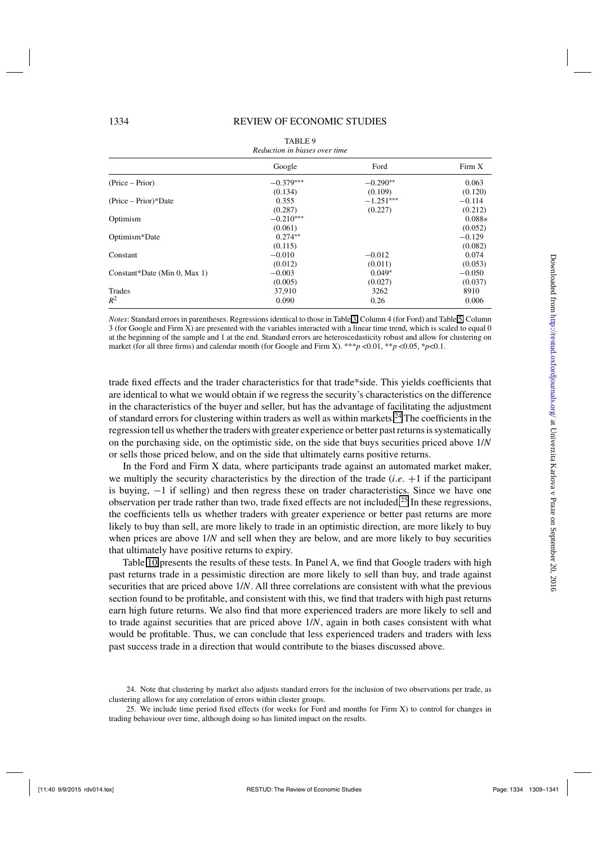<span id="page-25-0"></span>

|                              | Google      | Ford        | Firm X   |
|------------------------------|-------------|-------------|----------|
| $(Price - Prior)$            | $-0.379***$ | $-0.290**$  | 0.063    |
|                              | (0.134)     | (0.109)     | (0.120)  |
| $(Price - Prior)*Date$       | 0.355       | $-1.251***$ | $-0.114$ |
|                              | (0.287)     | (0.227)     | (0.212)  |
| Optimism                     | $-0.210***$ |             | $0.088*$ |
|                              | (0.061)     |             | (0.052)  |
| Optimism*Date                | $0.274**$   |             | $-0.129$ |
|                              | (0.115)     |             | (0.082)  |
| Constant                     | $-0.010$    | $-0.012$    | 0.074    |
|                              | (0.012)     | (0.011)     | (0.053)  |
| Constant*Date (Min 0, Max 1) | $-0.003$    | $0.049*$    | $-0.050$ |
|                              | (0.005)     | (0.027)     | (0.037)  |
| Trades                       | 37,910      | 3262        | 8910     |
| $R^2$                        | 0.090       | 0.26        | 0.006    |

| TABLE 9                       |  |
|-------------------------------|--|
| Reduction in biases over time |  |

*Notes*: Standard errors in parentheses. Regressions identical to those in Table [3,](#page-16-0) Column 4 (for Ford) and Table [5,](#page-19-0) Column 3 (for Google and Firm X) are presented with the variables interacted with a linear time trend, which is scaled to equal 0 at the beginning of the sample and 1 at the end. Standard errors are heteroscedasticity robust and allow for clustering on market (for all three firms) and calendar month (for Google and Firm X). \*\*\**p* <0.01, \*\**p* <0.05, \**p* <0.1.

trade fixed effects and the trader characteristics for that trade\*side. This yields coefficients that are identical to what we would obtain if we regress the security's characteristics on the difference in the characteristics of the buyer and seller, but has the advantage of facilitating the adjustment of standard errors for clustering within traders as well as within markets.<sup>24</sup> The coefficients in the regression tell us whether the traders with greater experience or better past returns is systematically on the purchasing side, on the optimistic side, on the side that buys securities priced above 1/*N* or sells those priced below, and on the side that ultimately earns positive returns.

In the Ford and Firm X data, where participants trade against an automated market maker, we multiply the security characteristics by the direction of the trade (*i*.*e*. +1 if the participant is buying,  $-1$  if selling) and then regress these on trader characteristics. Since we have one observation per trade rather than two, trade fixed effects are not included.<sup>25</sup> In these regressions, the coefficients tells us whether traders with greater experience or better past returns are more likely to buy than sell, are more likely to trade in an optimistic direction, are more likely to buy when prices are above  $1/N$  and sell when they are below, and are more likely to buy securities that ultimately have positive returns to expiry.

Table [10](#page-26-0) presents the results of these tests. In Panel A, we find that Google traders with high past returns trade in a pessimistic direction are more likely to sell than buy, and trade against securities that are priced above 1/*N*. All three correlations are consistent with what the previous section found to be profitable, and consistent with this, we find that traders with high past returns earn high future returns. We also find that more experienced traders are more likely to sell and to trade against securities that are priced above 1/*N*, again in both cases consistent with what would be profitable. Thus, we can conclude that less experienced traders and traders with less past success trade in a direction that would contribute to the biases discussed above.

<sup>24.</sup> Note that clustering by market also adjusts standard errors for the inclusion of two observations per trade, as clustering allows for any correlation of errors within cluster groups.

<sup>25.</sup> We include time period fixed effects (for weeks for Ford and months for Firm X) to control for changes in trading behaviour over time, although doing so has limited impact on the results.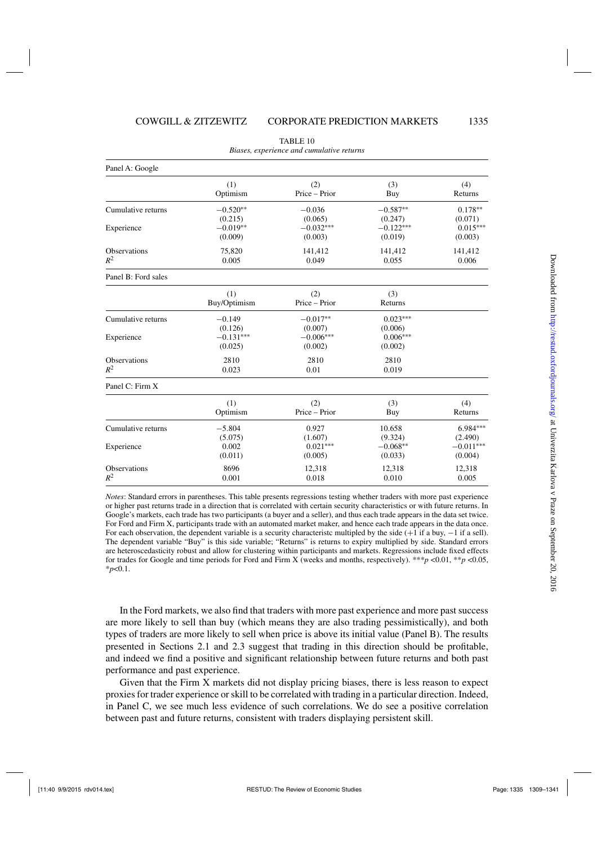<span id="page-26-0"></span>

| Panel A: Google                  |                                               |                                                 |                                                |             |
|----------------------------------|-----------------------------------------------|-------------------------------------------------|------------------------------------------------|-------------|
|                                  | (1)                                           | (2)                                             | (3)                                            | (4)         |
|                                  | Optimism                                      | Price - Prior                                   | Buy                                            | Returns     |
| Cumulative returns               | $-0.520**$                                    | $-0.036$                                        | $-0.587**$                                     | $0.178**$   |
|                                  | (0.215)                                       | (0.065)                                         | (0.247)                                        | (0.071)     |
| Experience                       | $-0.019**$                                    | $-0.032***$                                     | $-0.122***$                                    | $0.015***$  |
|                                  | (0.009)                                       | (0.003)                                         | (0.019)                                        | (0.003)     |
| <b>Observations</b>              | 75,820                                        | 141,412                                         | 141,412                                        | 141,412     |
| $R^2$                            | 0.005                                         | 0.049                                           | 0.055                                          | 0.006       |
| Panel B: Ford sales              |                                               |                                                 |                                                |             |
|                                  | (1)<br>Buy/Optimism                           | (2)<br>Price - Prior                            | (3)<br>Returns                                 |             |
| Cumulative returns<br>Experience | $-0.149$<br>(0.126)<br>$-0.131***$<br>(0.025) | $-0.017**$<br>(0.007)<br>$-0.006***$<br>(0.002) | $0.023***$<br>(0.006)<br>$0.006***$<br>(0.002) |             |
| <b>Observations</b>              | 2810                                          | 2810                                            | 2810                                           |             |
| $R^2$                            | 0.023                                         | 0.01                                            | 0.019                                          |             |
| Panel C: Firm X                  |                                               |                                                 |                                                |             |
|                                  | (1)                                           | (2)                                             | (3)                                            | (4)         |
|                                  | Optimism                                      | Price - Prior                                   | Buy                                            | Returns     |
| Cumulative returns               | $-5.804$                                      | 0.927                                           | 10.658                                         | 6.984***    |
|                                  | (5.075)                                       | (1.607)                                         | (9.324)                                        | (2.490)     |
| Experience                       | 0.002                                         | $0.021***$                                      | $-0.068**$                                     | $-0.011***$ |
|                                  | (0.011)                                       | (0.005)                                         | (0.033)                                        | (0.004)     |
| <b>Observations</b>              | 8696                                          | 12,318                                          | 12,318                                         | 12,318      |
| $R^2$                            | 0.001                                         | 0.018                                           | 0.010                                          | 0.005       |

TABLE 10 *Biases, experience and cumulative returns*

*Notes*: Standard errors in parentheses. This table presents regressions testing whether traders with more past experience or higher past returns trade in a direction that is correlated with certain security characteristics or with future returns. In Google's markets, each trade has two participants (a buyer and a seller), and thus each trade appears in the data set twice. For Ford and Firm X, participants trade with an automated market maker, and hence each trade appears in the data once. For each observation, the dependent variable is a security characteristc multipled by the side (+1 if a buy, −1 if a sell). The dependent variable "Buy" is this side variable; "Returns" is returns to expiry multiplied by side. Standard errors are heteroscedasticity robust and allow for clustering within participants and markets. Regressions include fixed effects for trades for Google and time periods for Ford and Firm X (weeks and months, respectively). \*\*\**p* <0.01, \*\**p* <0.05, \**p*<0.1.

In the Ford markets, we also find that traders with more past experience and more past success are more likely to sell than buy (which means they are also trading pessimistically), and both types of traders are more likely to sell when price is above its initial value (Panel B). The results presented in Sections 2.1 and 2.3 suggest that trading in this direction should be profitable, and indeed we find a positive and significant relationship between future returns and both past performance and past experience.

Given that the Firm X markets did not display pricing biases, there is less reason to expect proxies for trader experience or skill to be correlated with trading in a particular direction. Indeed, in Panel C, we see much less evidence of such correlations. We do see a positive correlation between past and future returns, consistent with traders displaying persistent skill.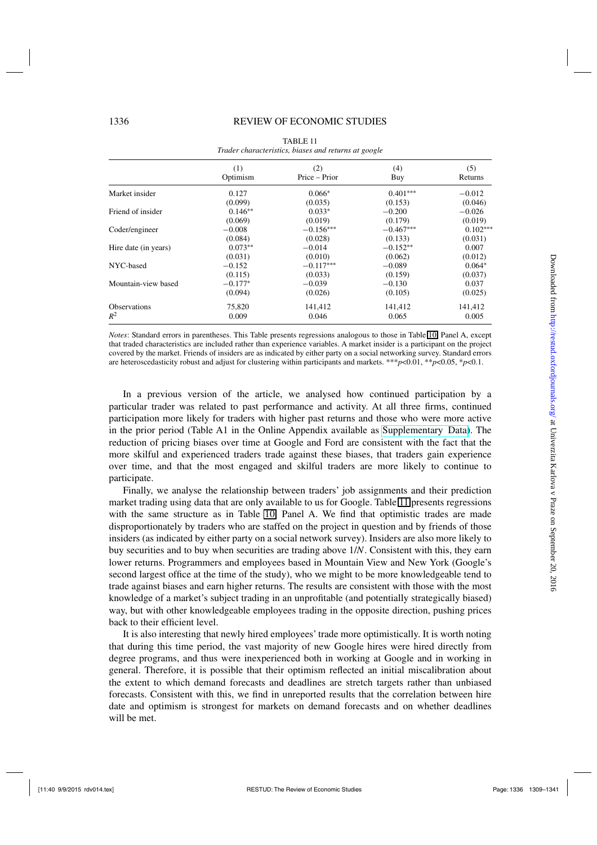|                      | (1)<br>Optimism | (2)<br>Price – Prior | (4)<br>Buy  | (5)<br>Returns |
|----------------------|-----------------|----------------------|-------------|----------------|
| Market insider       | 0.127           | $0.066*$             | $0.401***$  | $-0.012$       |
|                      | (0.099)         | (0.035)              | (0.153)     | (0.046)        |
| Friend of insider    | $0.146**$       | $0.033*$             | $-0.200$    | $-0.026$       |
|                      | (0.069)         | (0.019)              | (0.179)     | (0.019)        |
| Coder/engineer       | $-0.008$        | $-0.156***$          | $-0.467***$ | $0.102***$     |
|                      | (0.084)         | (0.028)              | (0.133)     | (0.031)        |
| Hire date (in years) | $0.073**$       | $-0.014$             | $-0.152**$  | 0.007          |
|                      | (0.031)         | (0.010)              | (0.062)     | (0.012)        |
| NYC-based            | $-0.152$        | $-0.117***$          | $-0.089$    | $0.064*$       |
|                      | (0.115)         | (0.033)              | (0.159)     | (0.037)        |
| Mountain-view based  | $-0.177*$       | $-0.039$             | $-0.130$    | 0.037          |
|                      | (0.094)         | (0.026)              | (0.105)     | (0.025)        |
| <b>Observations</b>  | 75,820          | 141,412              | 141,412     | 141,412        |
| $R^2$                | 0.009           | 0.046                | 0.065       | 0.005          |

TABLE 11 *Trader characteristics, biases and returns at google*

*Notes*: Standard errors in parentheses. This Table presents regressions analogous to those in Table [10,](#page-26-0) Panel A, except that traded characteristics are included rather than experience variables. A market insider is a participant on the project covered by the market. Friends of insiders are as indicated by either party on a social networking survey. Standard errors are heteroscedasticity robust and adjust for clustering within participants and markets. \*\*\**p*<0.01, \*\**p*<0.05, \**p*<0.1.

In a previous version of the article, we analysed how continued participation by a particular trader was related to past performance and activity. At all three firms, continued participation more likely for traders with higher past returns and those who were more active in the prior period (Table A1 in the Online Appendix available as [Supplementary Data\)](http://restud.oxfordjournals.org/lookup/suppl/doi:10.1093/restud/rdv014/-/DC1). The reduction of pricing biases over time at Google and Ford are consistent with the fact that the more skilful and experienced traders trade against these biases, that traders gain experience over time, and that the most engaged and skilful traders are more likely to continue to participate.

Finally, we analyse the relationship between traders' job assignments and their prediction market trading using data that are only available to us for Google. Table 11 presents regressions with the same structure as in Table [10,](#page-26-0) Panel A. We find that optimistic trades are made disproportionately by traders who are staffed on the project in question and by friends of those insiders (as indicated by either party on a social network survey). Insiders are also more likely to buy securities and to buy when securities are trading above 1/*N*. Consistent with this, they earn lower returns. Programmers and employees based in Mountain View and New York (Google's second largest office at the time of the study), who we might to be more knowledgeable tend to trade against biases and earn higher returns. The results are consistent with those with the most knowledge of a market's subject trading in an unprofitable (and potentially strategically biased) way, but with other knowledgeable employees trading in the opposite direction, pushing prices back to their efficient level.

It is also interesting that newly hired employees' trade more optimistically. It is worth noting that during this time period, the vast majority of new Google hires were hired directly from degree programs, and thus were inexperienced both in working at Google and in working in general. Therefore, it is possible that their optimism reflected an initial miscalibration about the extent to which demand forecasts and deadlines are stretch targets rather than unbiased forecasts. Consistent with this, we find in unreported results that the correlation between hire date and optimism is strongest for markets on demand forecasts and on whether deadlines will be met.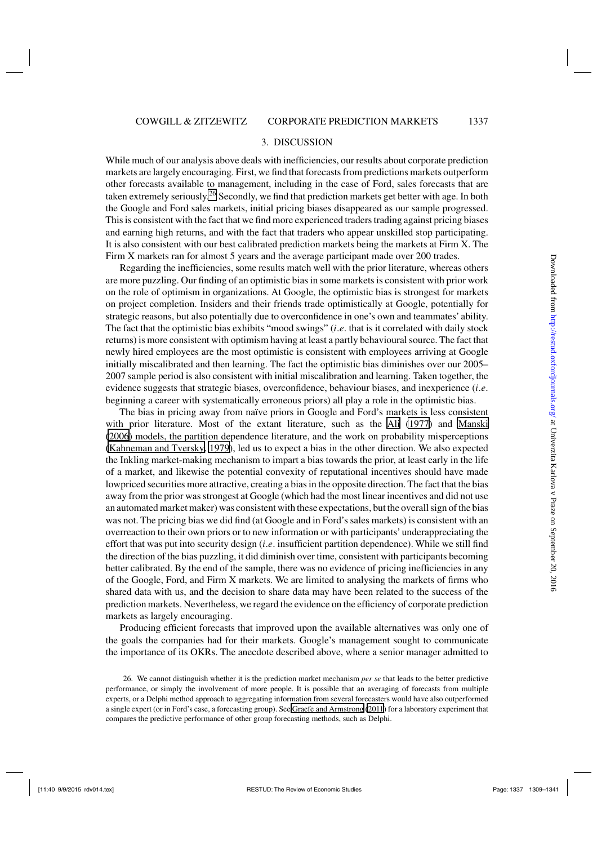#### 3. DISCUSSION

While much of our analysis above deals with inefficiencies, our results about corporate prediction markets are largely encouraging. First, we find that forecasts from predictions markets outperform other forecasts available to management, including in the case of Ford, sales forecasts that are taken extremely seriously.<sup>26</sup> Secondly, we find that prediction markets get better with age. In both the Google and Ford sales markets, initial pricing biases disappeared as our sample progressed. This is consistent with the fact that we find more experienced traders trading against pricing biases and earning high returns, and with the fact that traders who appear unskilled stop participating. It is also consistent with our best calibrated prediction markets being the markets at Firm X. The Firm X markets ran for almost 5 years and the average participant made over 200 trades.

Regarding the inefficiencies, some results match well with the prior literature, whereas others are more puzzling. Our finding of an optimistic bias in some markets is consistent with prior work on the role of optimism in organizations. At Google, the optimistic bias is strongest for markets on project completion. Insiders and their friends trade optimistically at Google, potentially for strategic reasons, but also potentially due to overconfidence in one's own and teammates' ability. The fact that the optimistic bias exhibits "mood swings" (*i*.*e*. that is it correlated with daily stock returns) is more consistent with optimism having at least a partly behavioural source. The fact that newly hired employees are the most optimistic is consistent with employees arriving at Google initially miscalibrated and then learning. The fact the optimistic bias diminishes over our 2005– 2007 sample period is also consistent with initial miscalibration and learning. Taken together, the evidence suggests that strategic biases, overconfidence, behaviour biases, and inexperience (*i*.*e*. beginning a career with systematically erroneous priors) all play a role in the optimistic bias.

The bias in pricing away from naïve priors in Google and Ford's markets is less consistent with prior literature. Most of the extant literature, such as the [Ali](#page-30-0) [\(1977\)](#page-30-0) and [Manski](#page-31-0) [\(2006\)](#page-31-0) models, the partition dependence literature, and the work on probability misperceptions [\(Kahneman and Tversky, 1979\)](#page-31-0), led us to expect a bias in the other direction. We also expected the Inkling market-making mechanism to impart a bias towards the prior, at least early in the life of a market, and likewise the potential convexity of reputational incentives should have made lowpriced securities more attractive, creating a bias in the opposite direction. The fact that the bias away from the prior was strongest at Google (which had the most linear incentives and did not use an automated market maker) was consistent with these expectations, but the overall sign of the bias was not. The pricing bias we did find (at Google and in Ford's sales markets) is consistent with an overreaction to their own priors or to new information or with participants' underappreciating the effort that was put into security design (*i*.*e*. insufficient partition dependence). While we still find the direction of the bias puzzling, it did diminish over time, consistent with participants becoming better calibrated. By the end of the sample, there was no evidence of pricing inefficiencies in any of the Google, Ford, and Firm X markets. We are limited to analysing the markets of firms who shared data with us, and the decision to share data may have been related to the success of the prediction markets. Nevertheless, we regard the evidence on the efficiency of corporate prediction markets as largely encouraging.

Producing efficient forecasts that improved upon the available alternatives was only one of the goals the companies had for their markets. Google's management sought to communicate the importance of its OKRs. The anecdote described above, where a senior manager admitted to

<sup>26.</sup> We cannot distinguish whether it is the prediction market mechanism *per se* that leads to the better predictive performance, or simply the involvement of more people. It is possible that an averaging of forecasts from multiple experts, or a Delphi method approach to aggregating information from several forecasters would have also outperformed a single expert (or in Ford's case, a forecasting group). See [Graefe and Armstrong](#page-31-0) [\(2011\)](#page-31-0) for a laboratory experiment that compares the predictive performance of other group forecasting methods, such as Delphi.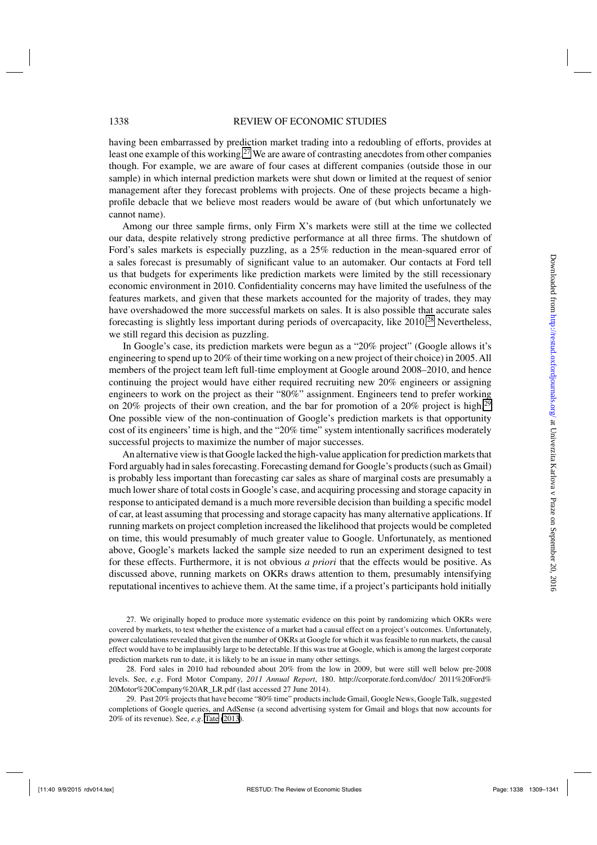having been embarrassed by prediction market trading into a redoubling of efforts, provides at least one example of this working.<sup>27</sup> We are aware of contrasting anecdotes from other companies though. For example, we are aware of four cases at different companies (outside those in our sample) in which internal prediction markets were shut down or limited at the request of senior management after they forecast problems with projects. One of these projects became a highprofile debacle that we believe most readers would be aware of (but which unfortunately we cannot name).

Among our three sample firms, only Firm X's markets were still at the time we collected our data, despite relatively strong predictive performance at all three firms. The shutdown of Ford's sales markets is especially puzzling, as a 25% reduction in the mean-squared error of a sales forecast is presumably of significant value to an automaker. Our contacts at Ford tell us that budgets for experiments like prediction markets were limited by the still recessionary economic environment in 2010. Confidentiality concerns may have limited the usefulness of the features markets, and given that these markets accounted for the majority of trades, they may have overshadowed the more successful markets on sales. It is also possible that accurate sales forecasting is slightly less important during periods of overcapacity, like  $2010^{28}$  Nevertheless, we still regard this decision as puzzling.

In Google's case, its prediction markets were begun as a "20% project" (Google allows it's engineering to spend up to 20% of their time working on a new project of their choice) in 2005.All members of the project team left full-time employment at Google around 2008–2010, and hence continuing the project would have either required recruiting new 20% engineers or assigning engineers to work on the project as their "80%" assignment. Engineers tend to prefer working on 20% projects of their own creation, and the bar for promotion of a 20% project is high.<sup>29</sup> One possible view of the non-continuation of Google's prediction markets is that opportunity cost of its engineers' time is high, and the "20% time" system intentionally sacrifices moderately successful projects to maximize the number of major successes.

An alternative view is that Google lacked the high-value application for prediction markets that Ford arguably had in sales forecasting. Forecasting demand for Google's products (such as Gmail) is probably less important than forecasting car sales as share of marginal costs are presumably a much lower share of total costs in Google's case, and acquiring processing and storage capacity in response to anticipated demand is a much more reversible decision than building a specific model of car, at least assuming that processing and storage capacity has many alternative applications. If running markets on project completion increased the likelihood that projects would be completed on time, this would presumably of much greater value to Google. Unfortunately, as mentioned above, Google's markets lacked the sample size needed to run an experiment designed to test for these effects. Furthermore, it is not obvious *a priori* that the effects would be positive. As discussed above, running markets on OKRs draws attention to them, presumably intensifying reputational incentives to achieve them. At the same time, if a project's participants hold initially

27. We originally hoped to produce more systematic evidence on this point by randomizing which OKRs were covered by markets, to test whether the existence of a market had a causal effect on a project's outcomes. Unfortunately, power calculations revealed that given the number of OKRs at Google for which it was feasible to run markets, the causal effect would have to be implausibly large to be detectable. If this was true at Google, which is among the largest corporate prediction markets run to date, it is likely to be an issue in many other settings.

28. Ford sales in 2010 had rebounded about 20% from the low in 2009, but were still well below pre-2008 levels. See, *e*.*g*. Ford Motor Company, *2011 Annual Report*, 180. http://corporate.ford.com/doc/ 2011%20Ford% 20Motor%20Company%20AR\_LR.pdf (last accessed 27 June 2014).

29. Past 20% projects that have become "80% time" products include Gmail, Google News, Google Talk, suggested completions of Google queries, and AdSense (a second advertising system for Gmail and blogs that now accounts for 20% of its revenue). See, *e*.*g*. [Tate](#page-32-0) [\(2013\)](#page-32-0).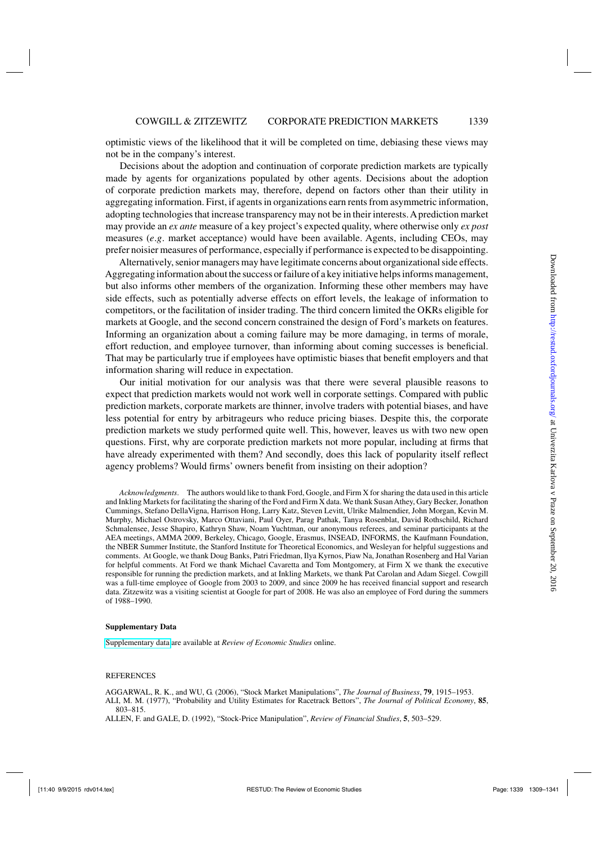<span id="page-30-0"></span>optimistic views of the likelihood that it will be completed on time, debiasing these views may not be in the company's interest.

Decisions about the adoption and continuation of corporate prediction markets are typically made by agents for organizations populated by other agents. Decisions about the adoption of corporate prediction markets may, therefore, depend on factors other than their utility in aggregating information. First, if agents in organizations earn rents from asymmetric information, adopting technologies that increase transparency may not be in their interests.Aprediction market may provide an *ex ante* measure of a key project's expected quality, where otherwise only *ex post* measures (*e*.*g*. market acceptance) would have been available. Agents, including CEOs, may prefer noisier measures of performance, especially if performance is expected to be disappointing.

Alternatively, senior managers may have legitimate concerns about organizational side effects. Aggregating information about the success or failure of a key initiative helps informs management, but also informs other members of the organization. Informing these other members may have side effects, such as potentially adverse effects on effort levels, the leakage of information to competitors, or the facilitation of insider trading. The third concern limited the OKRs eligible for markets at Google, and the second concern constrained the design of Ford's markets on features. Informing an organization about a coming failure may be more damaging, in terms of morale, effort reduction, and employee turnover, than informing about coming successes is beneficial. That may be particularly true if employees have optimistic biases that benefit employers and that information sharing will reduce in expectation.

Our initial motivation for our analysis was that there were several plausible reasons to expect that prediction markets would not work well in corporate settings. Compared with public prediction markets, corporate markets are thinner, involve traders with potential biases, and have less potential for entry by arbitrageurs who reduce pricing biases. Despite this, the corporate prediction markets we study performed quite well. This, however, leaves us with two new open questions. First, why are corporate prediction markets not more popular, including at firms that have already experimented with them? And secondly, does this lack of popularity itself reflect agency problems? Would firms' owners benefit from insisting on their adoption?

*Acknowledgments*. The authors would like to thank Ford, Google, and Firm X for sharing the data used in this article and Inkling Markets for facilitating the sharing of the Ford and Firm X data. We thank SusanAthey, Gary Becker, Jonathon Cummings, Stefano DellaVigna, Harrison Hong, Larry Katz, Steven Levitt, Ulrike Malmendier, John Morgan, Kevin M. Murphy, Michael Ostrovsky, Marco Ottaviani, Paul Oyer, Parag Pathak, Tanya Rosenblat, David Rothschild, Richard Schmalensee, Jesse Shapiro, Kathryn Shaw, Noam Yuchtman, our anonymous referees, and seminar participants at the AEA meetings, AMMA 2009, Berkeley, Chicago, Google, Erasmus, INSEAD, INFORMS, the Kaufmann Foundation, the NBER Summer Institute, the Stanford Institute for Theoretical Economics, and Wesleyan for helpful suggestions and comments. At Google, we thank Doug Banks, Patri Friedman, Ilya Kyrnos, Piaw Na, Jonathan Rosenberg and Hal Varian for helpful comments. At Ford we thank Michael Cavaretta and Tom Montgomery, at Firm X we thank the executive responsible for running the prediction markets, and at Inkling Markets, we thank Pat Carolan and Adam Siegel. Cowgill was a full-time employee of Google from 2003 to 2009, and since 2009 he has received financial support and research data. Zitzewitz was a visiting scientist at Google for part of 2008. He was also an employee of Ford during the summers of 1988–1990.

#### **Supplementary Data**

[Supplementary data](http://restud.oxfordjournals.org/lookup/suppl/doi:10.1093/restud/rdv014/-/DC1) are available at *Review of Economic Studies* online.

#### **REFERENCES**

AGGARWAL, R. K., and WU, G. (2006), "Stock Market Manipulations", *The Journal of Business*, **79**, 1915–1953. ALI, M. M. (1977), "Probability and Utility Estimates for Racetrack Bettors", *The Journal of Political Economy*, **85**,

803–815.

ALLEN, F. and GALE, D. (1992), "Stock-Price Manipulation", *Review of Financial Studies*, **5**, 503–529.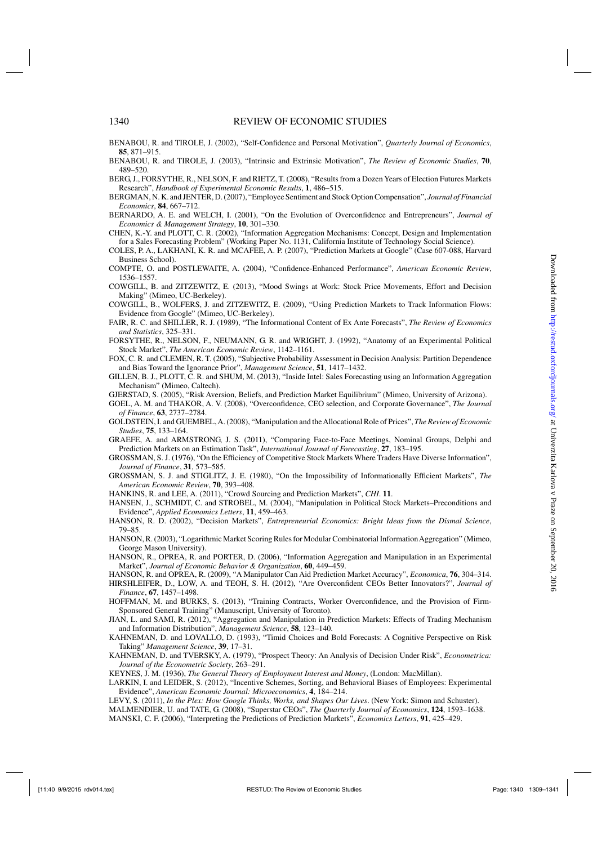#### <span id="page-31-0"></span>1340 REVIEW OF ECONOMIC STUDIES

- BENABOU, R. and TIROLE, J. (2002), "Self-Confidence and Personal Motivation", *Quarterly Journal of Economics*, **85**, 871–915.
- BENABOU, R. and TIROLE, J. (2003), "Intrinsic and Extrinsic Motivation", *The Review of Economic Studies*, **70**, 489–520.
- BERG, J., FORSYTHE, R., NELSON, F. and RIETZ, T. (2008), "Results from a Dozen Years of Election Futures Markets Research", *Handbook of Experimental Economic Results*, **1**, 486–515.
- BERGMAN, N. K. and JENTER, D. (2007), "Employee Sentiment and Stock Option Compensation", *Journal of Financial Economics*, **84**, 667–712.
- BERNARDO, A. E. and WELCH, I. (2001), "On the Evolution of Overconfidence and Entrepreneurs", *Journal of Economics & Management Strategy*, **10**, 301–330.
- CHEN, K.-Y. and PLOTT, C. R. (2002), "Information Aggregation Mechanisms: Concept, Design and Implementation for a Sales Forecasting Problem" (Working Paper No. 1131, California Institute of Technology Social Science).
- COLES, P. A., LAKHANI, K. R. and MCAFEE, A. P. (2007), "Prediction Markets at Google" (Case 607-088, Harvard Business School).
- COMPTE, O. and POSTLEWAITE, A. (2004), "Confidence-Enhanced Performance", *American Economic Review*, 1536–1557.
- COWGILL, B. and ZITZEWITZ, E. (2013), "Mood Swings at Work: Stock Price Movements, Effort and Decision Making" (Mimeo, UC-Berkeley).
- COWGILL, B., WOLFERS, J. and ZITZEWITZ, E. (2009), "Using Prediction Markets to Track Information Flows: Evidence from Google" (Mimeo, UC-Berkeley).
- FAIR, R. C. and SHILLER, R. J. (1989), "The Informational Content of Ex Ante Forecasts", *The Review of Economics and Statistics*, 325–331.
- FORSYTHE, R., NELSON, F., NEUMANN, G. R. and WRIGHT, J. (1992), "Anatomy of an Experimental Political Stock Market", *The American Economic Review*, 1142–1161.
- FOX, C. R. and CLEMEN, R. T. (2005), "Subjective Probability Assessment in Decision Analysis: Partition Dependence and Bias Toward the Ignorance Prior", *Management Science*, **51**, 1417–1432.
- GILLEN, B. J., PLOTT, C. R. and SHUM, M. (2013), "Inside Intel: Sales Forecasting using an Information Aggregation Mechanism" (Mimeo, Caltech).
- GJERSTAD, S. (2005), "Risk Aversion, Beliefs, and Prediction Market Equilibrium" (Mimeo, University of Arizona).
- GOEL, A. M. and THAKOR, A. V. (2008), "Overconfidence, CEO selection, and Corporate Governance", *The Journal of Finance*, **63**, 2737–2784.
- GOLDSTEIN, I. and GUEMBEL,A. (2008), "Manipulation and theAllocational Role of Prices", *The Review of Economic Studies*, **75**, 133–164.
- GRAEFE, A. and ARMSTRONG, J. S. (2011), "Comparing Face-to-Face Meetings, Nominal Groups, Delphi and Prediction Markets on an Estimation Task", *International Journal of Forecasting*, **27**, 183–195.
- GROSSMAN, S. J. (1976), "On the Efficiency of Competitive Stock Markets Where Traders Have Diverse Information", *Journal of Finance*, **31**, 573–585.
- GROSSMAN, S. J. and STIGLITZ, J. E. (1980), "On the Impossibility of Informationally Efficient Markets", *The American Economic Review*, **70**, 393–408.
- HANKINS, R. and LEE, A. (2011), "Crowd Sourcing and Prediction Markets", *CHI*. **11**.
- HANSEN, J., SCHMIDT, C. and STROBEL, M. (2004), "Manipulation in Political Stock Markets–Preconditions and Evidence", *Applied Economics Letters*, **11**, 459–463.
- HANSON, R. D. (2002), "Decision Markets", *Entrepreneurial Economics: Bright Ideas from the Dismal Science*, 79–85.
- HANSON, R. (2003), "Logarithmic Market Scoring Rules for Modular Combinatorial Information Aggregation" (Mimeo, George Mason University).
- HANSON, R., OPREA, R. and PORTER, D. (2006), "Information Aggregation and Manipulation in an Experimental Market", *Journal of Economic Behavior & Organization*, **60**, 449–459.
- HANSON, R. and OPREA, R. (2009), "A Manipulator Can Aid Prediction Market Accuracy", *Economica*, **76**, 304–314.
- HIRSHLEIFER, D., LOW, A. and TEOH, S. H. (2012), "Are Overconfident CEOs Better Innovators?", *Journal of Finance*, **67**, 1457–1498.
- HOFFMAN, M. and BURKS, S. (2013), "Training Contracts, Worker Overconfidence, and the Provision of Firm-Sponsored General Training" (Manuscript, University of Toronto).
- JIAN, L. and SAMI, R. (2012), "Aggregation and Manipulation in Prediction Markets: Effects of Trading Mechanism and Information Distribution", *Management Science*, **58**, 123–140.
- KAHNEMAN, D. and LOVALLO, D. (1993), "Timid Choices and Bold Forecasts: A Cognitive Perspective on Risk Taking" *Management Science*, **39**, 17–31.
- KAHNEMAN, D. and TVERSKY, A. (1979), "Prospect Theory: An Analysis of Decision Under Risk", *Econometrica: Journal of the Econometric Society*, 263–291.
- KEYNES, J. M. (1936), *The General Theory of Employment Interest and Money*, (London: MacMillan).
- LARKIN, I. and LEIDER, S. (2012), "Incentive Schemes, Sorting, and Behavioral Biases of Employees: Experimental Evidence", *American Economic Journal: Microeconomics*, **4**, 184–214.
- LEVY, S. (2011), *In the Plex: How Google Thinks, Works, and Shapes Our Lives*. (New York: Simon and Schuster).

MALMENDIER, U. and TATE, G. (2008), "Superstar CEOs", *The Quarterly Journal of Economics*, **124**, 1593–1638.

MANSKI, C. F. (2006), "Interpreting the Predictions of Prediction Markets", *Economics Letters*, **91**, 425–429.